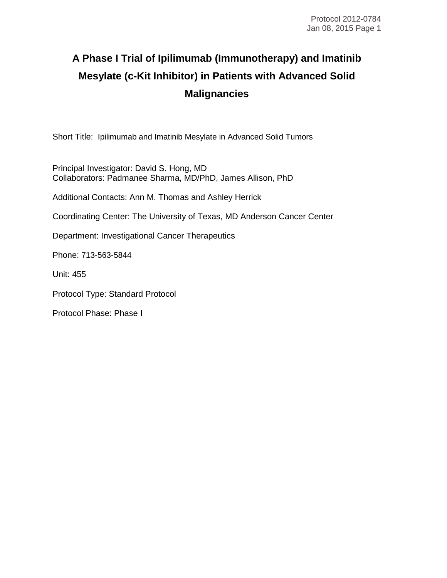# **A Phase I Trial of Ipilimumab (Immunotherapy) and Imatinib Mesylate (c-Kit Inhibitor) in Patients with Advanced Solid Malignancies**

Short Title: Ipilimumab and Imatinib Mesylate in Advanced Solid Tumors

Principal Investigator: David S. Hong, MD Collaborators: Padmanee Sharma, MD/PhD, James Allison, PhD

Additional Contacts: Ann M. Thomas and Ashley Herrick

Coordinating Center: The University of Texas, MD Anderson Cancer Center

Department: Investigational Cancer Therapeutics

Phone: 713-563-5844

Unit: 455

Protocol Type: Standard Protocol

Protocol Phase: Phase I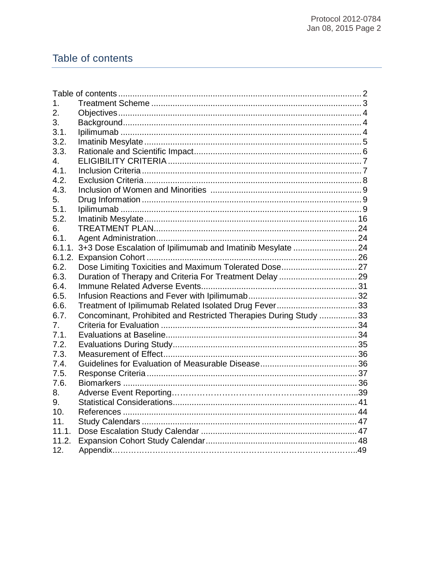# Table of contents

| 1.     |                                                                    |  |
|--------|--------------------------------------------------------------------|--|
| 2.     |                                                                    |  |
| 3.     |                                                                    |  |
| 3.1.   |                                                                    |  |
| 3.2.   |                                                                    |  |
| 3.3.   |                                                                    |  |
| 4.     |                                                                    |  |
| 4.1.   |                                                                    |  |
| 4.2.   |                                                                    |  |
| 4.3.   |                                                                    |  |
| 5.     |                                                                    |  |
| 5.1.   |                                                                    |  |
| 5.2.   |                                                                    |  |
| 6.     |                                                                    |  |
| 6.1.   |                                                                    |  |
|        | 6.1.1. 3+3 Dose Escalation of Ipilimumab and Imatinib Mesylate  24 |  |
| 6.1.2. |                                                                    |  |
| 6.2.   |                                                                    |  |
| 6.3.   |                                                                    |  |
| 6.4.   |                                                                    |  |
| 6.5.   |                                                                    |  |
| 6.6.   | Treatment of Ipilimumab Related Isolated Drug Fever33              |  |
| 6.7.   | Concominant, Prohibited and Restricted Therapies During Study 33   |  |
| 7.     |                                                                    |  |
| 7.1.   |                                                                    |  |
| 7.2.   |                                                                    |  |
| 7.3.   |                                                                    |  |
| 7.4.   |                                                                    |  |
| 7.5.   |                                                                    |  |
| 7.6.   |                                                                    |  |
| 8.     |                                                                    |  |
| 9.     |                                                                    |  |
| 10.    |                                                                    |  |
| 11.    |                                                                    |  |
| 11.1.  |                                                                    |  |
| 11.2.  |                                                                    |  |
| 12.    |                                                                    |  |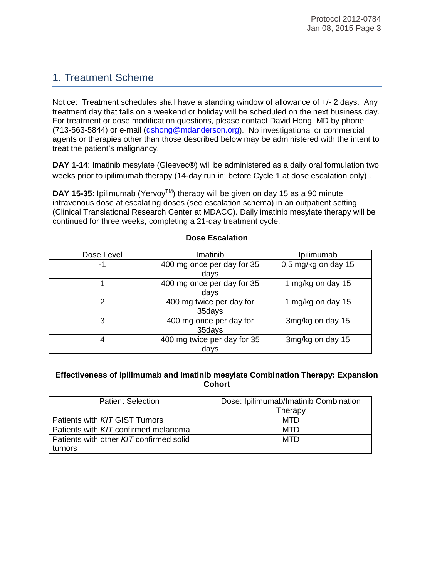# 1. Treatment Scheme

Notice: Treatment schedules shall have a standing window of allowance of +/- 2 days. Any treatment day that falls on a weekend or holiday will be scheduled on the next business day. For treatment or dose modification questions, please contact David Hong, MD by phone (713-563-5844) or e-mail [\(dshong@mdanderson.org\)](mailto:dshong@mdanderson.org). No investigational or commercial agents or therapies other than those described below may be administered with the intent to treat the patient's malignancy.

**DAY 1-14**: Imatinib mesylate (Gleevec**®**) will be administered as a daily oral formulation two weeks prior to ipilimumab therapy (14-day run in; before Cycle 1 at dose escalation only) .

**DAY 15-35:** Ipilimumab (Yervoy<sup>TM</sup>) therapy will be given on day 15 as a 90 minute intravenous dose at escalating doses (see escalation schema) in an outpatient setting (Clinical Translational Research Center at MDACC). Daily imatinib mesylate therapy will be continued for three weeks, completing a 21-day treatment cycle.

| Dose Level | Imatinib                            | Ipilimumab          |
|------------|-------------------------------------|---------------------|
| -1         | 400 mg once per day for 35<br>days  | 0.5 mg/kg on day 15 |
|            | 400 mg once per day for 35<br>days  | 1 mg/kg on day 15   |
| 2          | 400 mg twice per day for<br>35days  | 1 mg/kg on day 15   |
| 3          | 400 mg once per day for<br>35days   | 3mg/kg on day 15    |
| 4          | 400 mg twice per day for 35<br>days | 3mg/kg on day 15    |

# **Dose Escalation**

#### **Effectiveness of ipilimumab and Imatinib mesylate Combination Therapy: Expansion Cohort**

| <b>Patient Selection</b>                | Dose: Ipilimumab/Imatinib Combination |
|-----------------------------------------|---------------------------------------|
|                                         | Therapy                               |
| Patients with KIT GIST Tumors           | MTD                                   |
| Patients with KIT confirmed melanoma    | MTD                                   |
| Patients with other KIT confirmed solid | <b>MTD</b>                            |
| tumors                                  |                                       |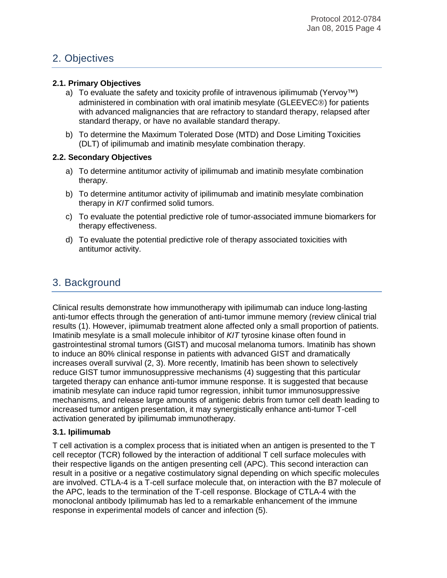# 2. Objectives

#### **2.1. Primary Objectives**

- a) To evaluate the safety and toxicity profile of intravenous ipilimumab (Yervoy™) administered in combination with oral imatinib mesylate (GLEEVEC<sup>®</sup>) for patients with advanced malignancies that are refractory to standard therapy, relapsed after standard therapy, or have no available standard therapy.
- b) To determine the Maximum Tolerated Dose (MTD) and Dose Limiting Toxicities (DLT) of ipilimumab and imatinib mesylate combination therapy.

#### **2.2. Secondary Objectives**

- a) To determine antitumor activity of ipilimumab and imatinib mesylate combination therapy.
- b) To determine antitumor activity of ipilimumab and imatinib mesylate combination therapy in *KIT* confirmed solid tumors.
- c) To evaluate the potential predictive role of tumor-associated immune biomarkers for therapy effectiveness.
- d) To evaluate the potential predictive role of therapy associated toxicities with antitumor activity.

# 3. Background

Clinical results demonstrate how immunotherapy with ipilimumab can induce long-lasting anti-tumor effects through the generation of anti-tumor immune memory (review clinical trial results (1). However, ipiimumab treatment alone affected only a small proportion of patients. Imatinib mesylate is a small molecule inhibitor of *KIT* tyrosine kinase often found in gastrointestinal stromal tumors (GIST) and mucosal melanoma tumors. Imatinib has shown to induce an 80% clinical response in patients with advanced GIST and dramatically increases overall survival (2, 3). More recently, Imatinib has been shown to selectively reduce GIST tumor immunosuppressive mechanisms (4) suggesting that this particular targeted therapy can enhance anti-tumor immune response. It is suggested that because imatinib mesylate can induce rapid tumor regression, inhibit tumor immunosuppressive mechanisms, and release large amounts of antigenic debris from tumor cell death leading to increased tumor antigen presentation, it may synergistically enhance anti-tumor T-cell activation generated by ipilimumab immunotherapy.

#### **3.1. Ipilimumab**

T cell activation is a complex process that is initiated when an antigen is presented to the T cell receptor (TCR) followed by the interaction of additional T cell surface molecules with their respective ligands on the antigen presenting cell (APC). This second interaction can result in a positive or a negative costimulatory signal depending on which specific molecules are involved. CTLA-4 is a T-cell surface molecule that, on interaction with the B7 molecule of the APC, leads to the termination of the T-cell response. Blockage of CTLA-4 with the monoclonal antibody Ipilimumab has led to a remarkable enhancement of the immune response in experimental models of cancer and infection (5).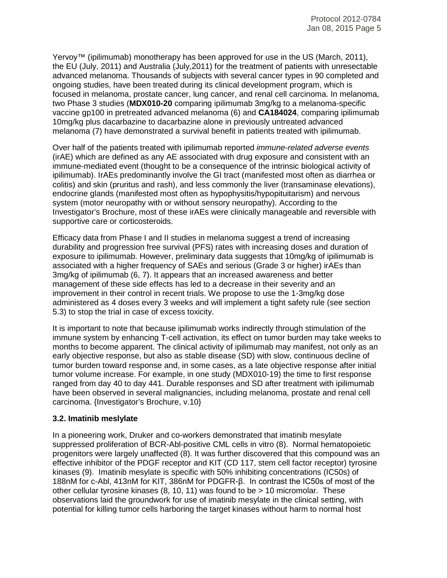Yervoy™ (ipilimumab) monotherapy has been approved for use in the US (March, 2011), the EU (July, 2011) and Australia (July,2011) for the treatment of patients with unresectable advanced melanoma. Thousands of subjects with several cancer types in 90 completed and ongoing studies, have been treated during its clinical development program, which is focused in melanoma, prostate cancer, lung cancer, and renal cell carcinoma. In melanoma, two Phase 3 studies (**MDX010-20** comparing ipilimumab 3mg/kg to a melanoma-specific vaccine gp100 in pretreated advanced melanoma (6) and **CA184024**, comparing ipilimumab 10mg/kg plus dacarbazine to dacarbazine alone in previously untreated advanced melanoma (7) have demonstrated a survival benefit in patients treated with ipilimumab.

Over half of the patients treated with ipilimumab reported *immune-related adverse events*  (irAE) which are defined as any AE associated with drug exposure and consistent with an immune-mediated event (thought to be a consequence of the intrinsic biological activity of ipilimumab). IrAEs predominantly involve the GI tract (manifested most often as diarrhea or colitis) and skin (pruritus and rash), and less commonly the liver (transaminase elevations), endocrine glands (manifested most often as hypophysitis/hypopituitarism) and nervous system (motor neuropathy with or without sensory neuropathy). According to the Investigator's Brochure, most of these irAEs were clinically manageable and reversible with supportive care or corticosteroids.

Efficacy data from Phase I and II studies in melanoma suggest a trend of increasing durability and progression free survival (PFS) rates with increasing doses and duration of exposure to ipilimumab. However, preliminary data suggests that 10mg/kg of ipilimumab is associated with a higher frequency of SAEs and serious (Grade 3 or higher) irAEs than 3mg/kg of ipilimumab (6, 7). It appears that an increased awareness and better management of these side effects has led to a decrease in their severity and an improvement in their control in recent trials. We propose to use the 1-3mg/kg dose administered as 4 doses every 3 weeks and will implement a tight safety rule (see section 5.3) to stop the trial in case of excess toxicity.

It is important to note that because ipilimumab works indirectly through stimulation of the immune system by enhancing T-cell activation, its effect on tumor burden may take weeks to months to become apparent. The clinical activity of ipilimumab may manifest, not only as an early objective response, but also as stable disease (SD) with slow, continuous decline of tumor burden toward response and, in some cases, as a late objective response after initial tumor volume increase. For example, in one study (MDX010-19) the time to first response ranged from day 40 to day 441. Durable responses and SD after treatment with ipilimumab have been observed in several malignancies, including melanoma, prostate and renal cell carcinoma. {Investigator's Brochure, v.10}

#### **3.2. Imatinib meslylate**

In a pioneering work, Druker and co-workers demonstrated that imatinib mesylate suppressed proliferation of BCR-Abl-positive CML cells in vitro (8). Normal hematopoietic progenitors were largely unaffected (8). It was further discovered that this compound was an effective inhibitor of the PDGF receptor and KIT (CD 117, stem cell factor receptor) tyrosine kinases (9). Imatinib mesylate is specific with 50% inhibiting concentrations (IC50s) of 188nM for c-Abl, 413nM for KIT, 386nM for PDGFR-β. In contrast the IC50s of most of the other cellular tyrosine kinases (8, 10, 11) was found to be > 10 micromolar. These observations laid the groundwork for use of imatinib mesylate in the clinical setting, with potential for killing tumor cells harboring the target kinases without harm to normal host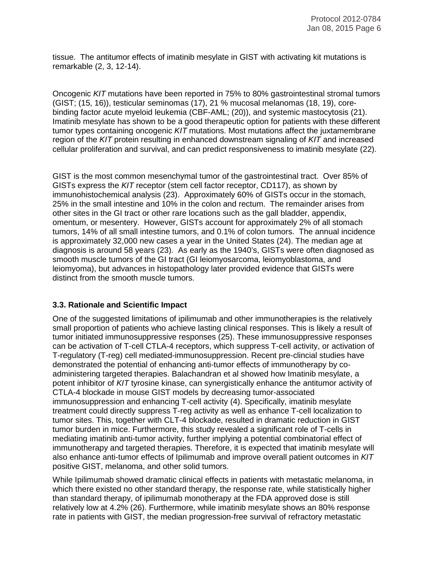tissue. The antitumor effects of imatinib mesylate in GIST with activating kit mutations is remarkable (2, 3, 12-14).

Oncogenic *KIT* mutations have been reported in 75% to 80% gastrointestinal stromal tumors (GIST; (15, 16)), testicular seminomas (17), 21 % mucosal melanomas (18, 19), corebinding factor acute myeloid leukemia (CBF-AML; (20)), and systemic mastocytosis (21). Imatinib mesylate has shown to be a good therapeutic option for patients with these different tumor types containing oncogenic *KIT* mutations. Most mutations affect the juxtamembrane region of the *KIT* protein resulting in enhanced downstream signaling of *KIT* and increased cellular proliferation and survival, and can predict responsiveness to imatinib mesylate (22).

GIST is the most common mesenchymal tumor of the gastrointestinal tract. Over 85% of GISTs express the *KIT* receptor (stem cell factor receptor, CD117), as shown by immunohistochemical analysis (23). Approximately 60% of GISTs occur in the stomach, 25% in the small intestine and 10% in the colon and rectum. The remainder arises from other sites in the GI tract or other rare locations such as the gall bladder, appendix, omentum, or mesentery. However, GISTs account for approximately 2% of all stomach tumors, 14% of all small intestine tumors, and 0.1% of colon tumors. The annual incidence is approximately 32,000 new cases a year in the United States (24). The median age at diagnosis is around 58 years (23). As early as the 1940's, GISTs were often diagnosed as smooth muscle tumors of the GI tract (GI leiomyosarcoma, leiomyoblastoma, and leiomyoma), but advances in histopathology later provided evidence that GISTs were distinct from the smooth muscle tumors.

#### **3.3. Rationale and Scientific Impact**

One of the suggested limitations of ipilimumab and other immunotherapies is the relatively small proportion of patients who achieve lasting clinical responses. This is likely a result of tumor initiated immunosuppressive responses (25). These immunosuppressive responses can be activation of T-cell CTLA-4 receptors, which suppress T-cell activity, or activation of T-regulatory (T-reg) cell mediated-immunosuppression. Recent pre-clincial studies have demonstrated the potential of enhancing anti-tumor effects of immunotherapy by coadministering targeted therapies. Balachandran et al showed how Imatinib mesylate, a potent inhibitor of *KIT* tyrosine kinase, can synergistically enhance the antitumor activity of CTLA-4 blockade in mouse GIST models by decreasing tumor-associated immunosuppression and enhancing T-cell activity (4). Specifically, imatinib mesylate treatment could directly suppress T-reg activity as well as enhance T-cell localization to tumor sites. This, together with CLT-4 blockade, resulted in dramatic reduction in GIST tumor burden in mice. Furthermore, this study revealed a significant role of T-cells in mediating imatinib anti-tumor activity, further implying a potential combinatorial effect of immunotherapy and targeted therapies. Therefore, it is expected that imatinib mesylate will also enhance anti-tumor effects of Ipilimumab and improve overall patient outcomes in *KIT* positive GIST, melanoma, and other solid tumors.

While Ipilimumab showed dramatic clinical effects in patients with metastatic melanoma, in which there existed no other standard therapy, the response rate, while statistically higher than standard therapy, of ipilimumab monotherapy at the FDA approved dose is still relatively low at 4.2% (26). Furthermore, while imatinib mesylate shows an 80% response rate in patients with GIST, the median progression-free survival of refractory metastatic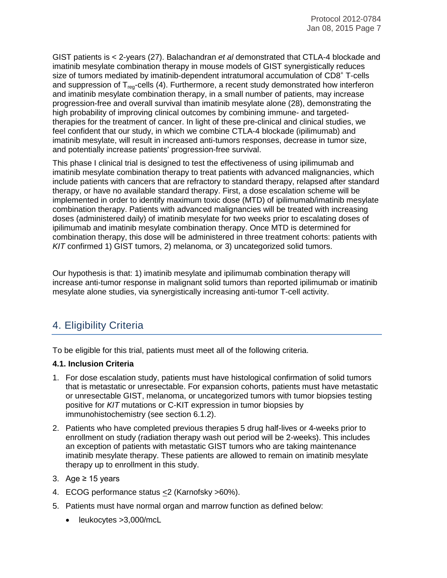GIST patients is < 2-years (27). Balachandran *et al* demonstrated that CTLA-4 blockade and imatinib mesylate combination therapy in mouse models of GIST synergistically reduces size of tumors mediated by imatinib-dependent intratumoral accumulation of CD8<sup>+</sup> T-cells and suppression of  $T_{\text{rec}}$ -cells (4). Furthermore, a recent study demonstrated how interferon and imatinib mesylate combination therapy, in a small number of patients, may increase progression-free and overall survival than imatinib mesylate alone (28), demonstrating the high probability of improving clinical outcomes by combining immune- and targetedtherapies for the treatment of cancer. In light of these pre-clinical and clinical studies, we feel confident that our study, in which we combine CTLA-4 blockade (ipilimumab) and imatinib mesylate, will result in increased anti-tumors responses, decrease in tumor size, and potentially increase patients' progression-free survival.

This phase I clinical trial is designed to test the effectiveness of using ipilimumab and imatinib mesylate combination therapy to treat patients with advanced malignancies, which include patients with cancers that are refractory to standard therapy, relapsed after standard therapy, or have no available standard therapy. First, a dose escalation scheme will be implemented in order to identify maximum toxic dose (MTD) of ipilimumab/imatinib mesylate combination therapy. Patients with advanced malignancies will be treated with increasing doses (administered daily) of imatinib mesylate for two weeks prior to escalating doses of ipilimumab and imatinib mesylate combination therapy. Once MTD is determined for combination therapy, this dose will be administered in three treatment cohorts: patients with *KIT* confirmed 1) GIST tumors, 2) melanoma, or 3) uncategorized solid tumors.

Our hypothesis is that: 1) imatinib mesylate and ipilimumab combination therapy will increase anti-tumor response in malignant solid tumors than reported ipilimumab or imatinib mesylate alone studies, via synergistically increasing anti-tumor T-cell activity.

# 4. Eligibility Criteria

To be eligible for this trial, patients must meet all of the following criteria.

# **4.1. Inclusion Criteria**

- 1. For dose escalation study, patients must have histological confirmation of solid tumors that is metastatic or unresectable. For expansion cohorts, patients must have metastatic or unresectable GIST, melanoma, or uncategorized tumors with tumor biopsies testing positive for *KIT* mutations or C-KIT expression in tumor biopsies by immunohistochemistry (see section 6.1.2).
- 2. Patients who have completed previous therapies 5 drug half-lives or 4-weeks prior to enrollment on study (radiation therapy wash out period will be 2-weeks). This includes an exception of patients with metastatic GIST tumors who are taking maintenance imatinib mesylate therapy. These patients are allowed to remain on imatinib mesylate therapy up to enrollment in this study.
- 3. Age ≥ 15 years
- 4. ECOG performance status <2 (Karnofsky >60%).
- 5. Patients must have normal organ and marrow function as defined below:
	- leukocytes >3,000/mcL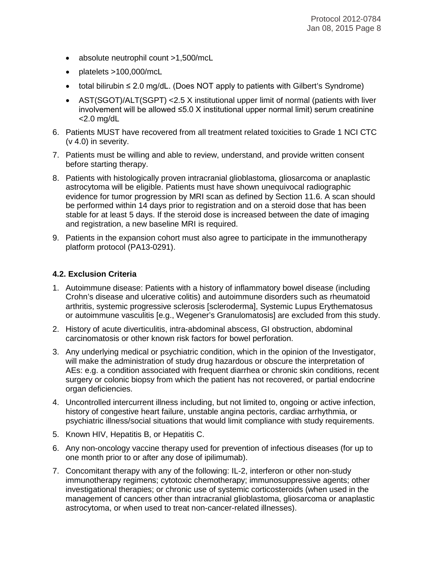- absolute neutrophil count >1,500/mcL
- platelets >100,000/mcL
- total bilirubin ≤ 2.0 mg/dL. (Does NOT apply to patients with Gilbert's Syndrome)
- AST(SGOT)/ALT(SGPT) < 2.5 X institutional upper limit of normal (patients with liver involvement will be allowed ≤5.0 X institutional upper normal limit) serum creatinine  $<$ 2.0 mg/dL
- 6. Patients MUST have recovered from all treatment related toxicities to Grade 1 NCI CTC (v 4.0) in severity.
- 7. Patients must be willing and able to review, understand, and provide written consent before starting therapy.
- 8. Patients with histologically proven intracranial glioblastoma, gliosarcoma or anaplastic astrocytoma will be eligible. Patients must have shown unequivocal radiographic evidence for tumor progression by MRI scan as defined by Section 11.6. A scan should be performed within 14 days prior to registration and on a steroid dose that has been stable for at least 5 days. If the steroid dose is increased between the date of imaging and registration, a new baseline MRI is required.
- 9. Patients in the expansion cohort must also agree to participate in the immunotherapy platform protocol (PA13-0291).

#### **4.2. Exclusion Criteria**

- 1. Autoimmune disease: Patients with a history of inflammatory bowel disease (including Crohn's disease and ulcerative colitis) and autoimmune disorders such as rheumatoid arthritis, systemic progressive sclerosis [scleroderma], Systemic Lupus Erythematosus or autoimmune vasculitis [e.g., Wegener's Granulomatosis] are excluded from this study.
- 2. History of acute diverticulitis, intra-abdominal abscess, GI obstruction, abdominal carcinomatosis or other known risk factors for bowel perforation.
- 3. Any underlying medical or psychiatric condition, which in the opinion of the Investigator, will make the administration of study drug hazardous or obscure the interpretation of AEs: e.g. a condition associated with frequent diarrhea or chronic skin conditions, recent surgery or colonic biopsy from which the patient has not recovered, or partial endocrine organ deficiencies.
- 4. Uncontrolled intercurrent illness including, but not limited to, ongoing or active infection, history of congestive heart failure, unstable angina pectoris, cardiac arrhythmia, or psychiatric illness/social situations that would limit compliance with study requirements.
- 5. Known HIV, Hepatitis B, or Hepatitis C.
- 6. Any non-oncology vaccine therapy used for prevention of infectious diseases (for up to one month prior to or after any dose of ipilimumab).
- 7. Concomitant therapy with any of the following: IL-2, interferon or other non-study immunotherapy regimens; cytotoxic chemotherapy; immunosuppressive agents; other investigational therapies; or chronic use of systemic corticosteroids (when used in the management of cancers other than intracranial glioblastoma, gliosarcoma or anaplastic astrocytoma, or when used to treat non-cancer-related illnesses).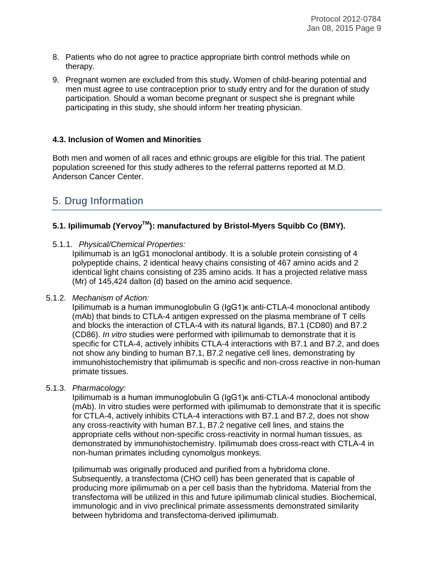- 8. Patients who do not agree to practice appropriate birth control methods while on therapy.
- 9. Pregnant women are excluded from this study. Women of child-bearing potential and men must agree to use contraception prior to study entry and for the duration of study participation. Should a woman become pregnant or suspect she is pregnant while participating in this study, she should inform her treating physician.

#### **4.3. Inclusion of Women and Minorities**

Both men and women of all races and ethnic groups are eligible for this trial. The patient population screened for this study adheres to the referral patterns reported at M.D. Anderson Cancer Center.

# 5. Drug Information

# **5.1. Ipilimumab (YervoyTM): manufactured by Bristol-Myers Squibb Co (BMY).**

5.1.1. *Physical/Chemical Properties:*

Ipilimumab is an IgG1 monoclonal antibody. It is a soluble protein consisting of 4 polypeptide chains, 2 identical heavy chains consisting of 467 amino acids and 2 identical light chains consisting of 235 amino acids. It has a projected relative mass (Mr) of 145,424 dalton (d) based on the amino acid sequence.

#### 5.1.2. *Mechanism of Action:*

Ipilimumab is a human immunoglobulin G (IgG1)κ anti-CTLA-4 monoclonal antibody (mAb) that binds to CTLA-4 antigen expressed on the plasma membrane of T cells and blocks the interaction of CTLA-4 with its natural ligands, B7.1 (CD80) and B7.2 (CD86). *In vitro* studies were performed with ipilimumab to demonstrate that it is specific for CTLA-4, actively inhibits CTLA-4 interactions with B7.1 and B7.2, and does not show any binding to human B7.1, B7.2 negative cell lines, demonstrating by immunohistochemistry that ipilimumab is specific and non-cross reactive in non-human primate tissues.

#### 5.1.3. *Pharmacology:*

Ipilimumab is a human immunoglobulin G (IgG1)κ anti-CTLA-4 monoclonal antibody (mAb). In vitro studies were performed with ipilimumab to demonstrate that it is specific for CTLA-4, actively inhibits CTLA-4 interactions with B7.1 and B7.2, does not show any cross-reactivity with human B7.1, B7.2 negative cell lines, and stains the appropriate cells without non-specific cross-reactivity in normal human tissues, as demonstrated by immunohistochemistry. Ipilimumab does cross-react with CTLA-4 in non-human primates including cynomolgus monkeys.

Ipilimumab was originally produced and purified from a hybridoma clone. Subsequently, a transfectoma (CHO cell) has been generated that is capable of producing more ipilimumab on a per cell basis than the hybridoma. Material from the transfectoma will be utilized in this and future ipilimumab clinical studies. Biochemical, immunologic and in vivo preclinical primate assessments demonstrated similarity between hybridoma and transfectoma-derived ipilimumab.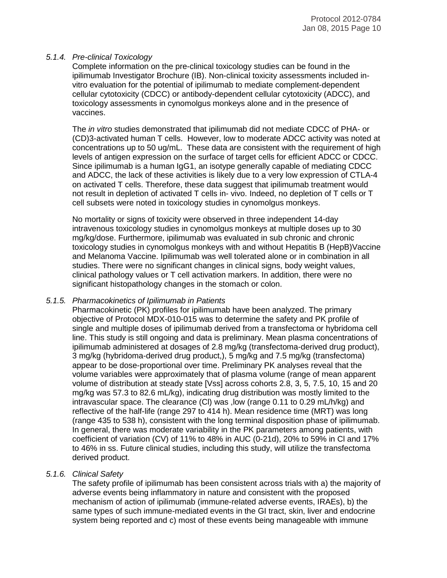#### *5.1.4. Pre-clinical Toxicology*

Complete information on the pre-clinical toxicology studies can be found in the ipilimumab Investigator Brochure (IB). Non-clinical toxicity assessments included invitro evaluation for the potential of ipilimumab to mediate complement-dependent cellular cytotoxicity (CDCC) or antibody-dependent cellular cytotoxicity (ADCC), and toxicology assessments in cynomolgus monkeys alone and in the presence of vaccines.

The *in vitro* studies demonstrated that ipilimumab did not mediate CDCC of PHA- or (CD)3-activated human T cells. However, low to moderate ADCC activity was noted at concentrations up to 50 ug/mL. These data are consistent with the requirement of high levels of antigen expression on the surface of target cells for efficient ADCC or CDCC. Since ipilimumab is a human IgG1, an isotype generally capable of mediating CDCC and ADCC, the lack of these activities is likely due to a very low expression of CTLA-4 on activated T cells. Therefore, these data suggest that ipilimumab treatment would not result in depletion of activated T cells in- vivo. Indeed, no depletion of T cells or T cell subsets were noted in toxicology studies in cynomolgus monkeys.

No mortality or signs of toxicity were observed in three independent 14-day intravenous toxicology studies in cynomolgus monkeys at multiple doses up to 30 mg/kg/dose. Furthermore, ipilimumab was evaluated in sub chronic and chronic toxicology studies in cynomolgus monkeys with and without Hepatitis B (HepB)Vaccine and Melanoma Vaccine. Ipilimumab was well tolerated alone or in combination in all studies. There were no significant changes in clinical signs, body weight values, clinical pathology values or T cell activation markers. In addition, there were no significant histopathology changes in the stomach or colon.

#### *5.1.5. Pharmacokinetics of Ipilimumab in Patients*

Pharmacokinetic (PK) profiles for ipilimumab have been analyzed. The primary objective of Protocol MDX-010-015 was to determine the safety and PK profile of single and multiple doses of ipilimumab derived from a transfectoma or hybridoma cell line. This study is still ongoing and data is preliminary. Mean plasma concentrations of ipilimumab administered at dosages of 2.8 mg/kg (transfectoma-derived drug product), 3 mg/kg (hybridoma-derived drug product,), 5 mg/kg and 7.5 mg/kg (transfectoma) appear to be dose-proportional over time. Preliminary PK analyses reveal that the volume variables were approximately that of plasma volume (range of mean apparent volume of distribution at steady state [Vss] across cohorts 2.8, 3, 5, 7.5, 10, 15 and 20 mg/kg was 57.3 to 82.6 mL/kg), indicating drug distribution was mostly limited to the intravascular space. The clearance (Cl) was ,low (range 0.11 to 0.29 mL/h/kg) and reflective of the half-life (range 297 to 414 h). Mean residence time (MRT) was long (range 435 to 538 h), consistent with the long terminal disposition phase of ipilimumab. In general, there was moderate variability in the PK parameters among patients, with coefficient of variation (CV) of 11% to 48% in AUC (0-21d), 20% to 59% in Cl and 17% to 46% in ss. Future clinical studies, including this study, will utilize the transfectoma derived product.

#### *5.1.6. Clinical Safety*

The safety profile of ipilimumab has been consistent across trials with a) the majority of adverse events being inflammatory in nature and consistent with the proposed mechanism of action of ipilimumab (immune-related adverse events, IRAEs), b) the same types of such immune-mediated events in the GI tract, skin, liver and endocrine system being reported and c) most of these events being manageable with immune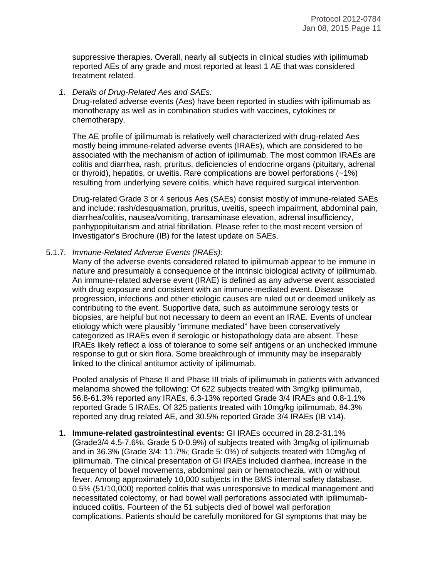suppressive therapies. Overall, nearly all subjects in clinical studies with ipilimumab reported AEs of any grade and most reported at least 1 AE that was considered treatment related.

*1. Details of Drug-Related Aes and SAEs:*

Drug-related adverse events (Aes) have been reported in studies with ipilimumab as monotherapy as well as in combination studies with vaccines, cytokines or chemotherapy.

The AE profile of ipilimumab is relatively well characterized with drug-related Aes mostly being immune-related adverse events (IRAEs), which are considered to be associated with the mechanism of action of ipilimumab. The most common IRAEs are colitis and diarrhea, rash, pruritus, deficiencies of endocrine organs (pituitary, adrenal or thyroid), hepatitis, or uveitis. Rare complications are bowel perforations (~1%) resulting from underlying severe colitis, which have required surgical intervention.

Drug-related Grade 3 or 4 serious Aes (SAEs) consist mostly of immune-related SAEs and include: rash/desquamation, pruritus, uveitis, speech impairment, abdominal pain, diarrhea/colitis, nausea/vomiting, transaminase elevation, adrenal insufficiency, panhypopituitarism and atrial fibrillation. Please refer to the most recent version of Investigator's Brochure (IB) for the latest update on SAEs.

#### 5.1.7. *Immune-Related Adverse Events (IRAEs):*

Many of the adverse events considered related to ipilimumab appear to be immune in nature and presumably a consequence of the intrinsic biological activity of ipilimumab. An immune-related adverse event (IRAE) is defined as any adverse event associated with drug exposure and consistent with an immune-mediated event. Disease progression, infections and other etiologic causes are ruled out or deemed unlikely as contributing to the event. Supportive data, such as autoimmune serology tests or biopsies, are helpful but not necessary to deem an event an IRAE. Events of unclear etiology which were plausibly "immune mediated" have been conservatively categorized as IRAEs even if serologic or histopathology data are absent. These IRAEs likely reflect a loss of tolerance to some self antigens or an unchecked immune response to gut or skin flora. Some breakthrough of immunity may be inseparably linked to the clinical antitumor activity of ipilimumab.

Pooled analysis of Phase II and Phase III trials of ipilimumab in patients with advanced melanoma showed the following: Of 622 subjects treated with 3mg/kg ipilimumab, 56.8-61.3% reported any IRAEs, 6.3-13% reported Grade 3/4 IRAEs and 0.8-1.1% reported Grade 5 IRAEs. Of 325 patients treated with 10mg/kg ipilimumab, 84.3% reported any drug related AE, and 30.5% reported Grade 3/4 IRAEs (IB v14).

**1. Immune-related gastrointestinal events:** GI IRAEs occurred in 28.2-31.1% (Grade3/4 4.5-7.6%, Grade 5 0-0.9%) of subjects treated with 3mg/kg of ipilimumab and in 36.3% (Grade 3/4: 11.7%; Grade 5: 0%) of subjects treated with 10mg/kg of ipilimumab. The clinical presentation of GI IRAEs included diarrhea, increase in the frequency of bowel movements, abdominal pain or hematochezia, with or without fever. Among approximately 10,000 subjects in the BMS internal safety database, 0.5% (51/10,000) reported colitis that was unresponsive to medical management and necessitated colectomy, or had bowel wall perforations associated with ipilimumabinduced colitis. Fourteen of the 51 subjects died of bowel wall perforation complications. Patients should be carefully monitored for GI symptoms that may be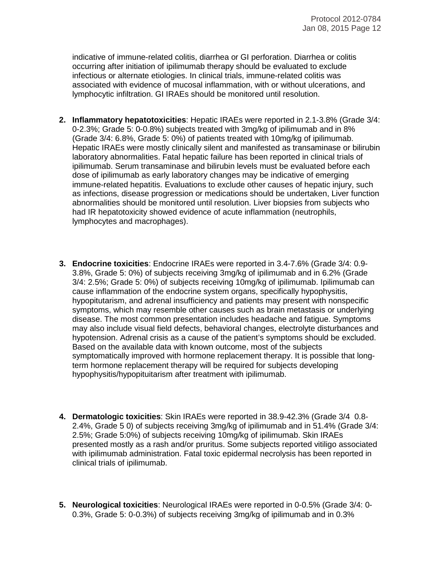indicative of immune-related colitis, diarrhea or GI perforation. Diarrhea or colitis occurring after initiation of ipilimumab therapy should be evaluated to exclude infectious or alternate etiologies. In clinical trials, immune-related colitis was associated with evidence of mucosal inflammation, with or without ulcerations, and lymphocytic infiltration. GI IRAEs should be monitored until resolution.

- **2. Inflammatory hepatotoxicities**: Hepatic IRAEs were reported in 2.1-3.8% (Grade 3/4: 0-2.3%; Grade 5: 0-0.8%) subjects treated with 3mg/kg of ipilimumab and in 8% (Grade 3/4: 6.8%, Grade 5: 0%) of patients treated with 10mg/kg of ipilimumab. Hepatic IRAEs were mostly clinically silent and manifested as transaminase or bilirubin laboratory abnormalities. Fatal hepatic failure has been reported in clinical trials of ipilimumab. Serum transaminase and bilirubin levels must be evaluated before each dose of ipilimumab as early laboratory changes may be indicative of emerging immune-related hepatitis. Evaluations to exclude other causes of hepatic injury, such as infections, disease progression or medications should be undertaken, Liver function abnormalities should be monitored until resolution. Liver biopsies from subjects who had IR hepatotoxicity showed evidence of acute inflammation (neutrophils, lymphocytes and macrophages).
- **3. Endocrine toxicities**: Endocrine IRAEs were reported in 3.4-7.6% (Grade 3/4: 0.9- 3.8%, Grade 5: 0%) of subjects receiving 3mg/kg of ipilimumab and in 6.2% (Grade 3/4: 2.5%; Grade 5: 0%) of subjects receiving 10mg/kg of ipilimumab. Ipilimumab can cause inflammation of the endocrine system organs, specifically hypophysitis, hypopitutarism, and adrenal insufficiency and patients may present with nonspecific symptoms, which may resemble other causes such as brain metastasis or underlying disease. The most common presentation includes headache and fatigue. Symptoms may also include visual field defects, behavioral changes, electrolyte disturbances and hypotension. Adrenal crisis as a cause of the patient's symptoms should be excluded. Based on the available data with known outcome, most of the subjects symptomatically improved with hormone replacement therapy. It is possible that longterm hormone replacement therapy will be required for subjects developing hypophysitis/hypopituitarism after treatment with ipilimumab.
- **4. Dermatologic toxicities**: Skin IRAEs were reported in 38.9-42.3% (Grade 3/4 0.8- 2.4%, Grade 5 0) of subjects receiving 3mg/kg of ipilimumab and in 51.4% (Grade 3/4: 2.5%; Grade 5:0%) of subjects receiving 10mg/kg of ipilimumab. Skin IRAEs presented mostly as a rash and/or pruritus. Some subjects reported vitiligo associated with ipilimumab administration. Fatal toxic epidermal necrolysis has been reported in clinical trials of ipilimumab.
- **5. Neurological toxicities**: Neurological IRAEs were reported in 0-0.5% (Grade 3/4: 0- 0.3%, Grade 5: 0-0.3%) of subjects receiving 3mg/kg of ipilimumab and in 0.3%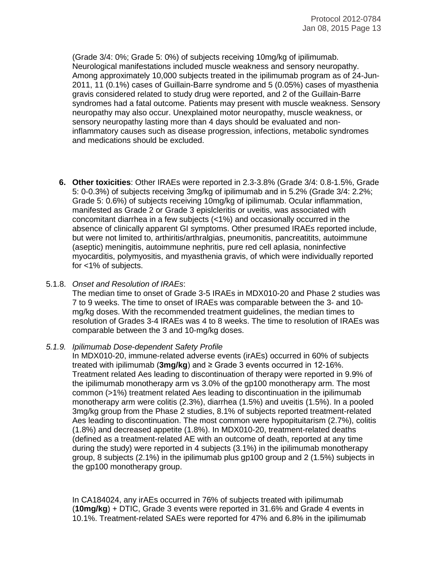(Grade 3/4: 0%; Grade 5: 0%) of subjects receiving 10mg/kg of ipilimumab. Neurological manifestations included muscle weakness and sensory neuropathy. Among approximately 10,000 subjects treated in the ipilimumab program as of 24-Jun-2011, 11 (0.1%) cases of Guillain-Barre syndrome and 5 (0.05%) cases of myasthenia gravis considered related to study drug were reported, and 2 of the Guillain-Barre syndromes had a fatal outcome. Patients may present with muscle weakness. Sensory neuropathy may also occur. Unexplained motor neuropathy, muscle weakness, or sensory neuropathy lasting more than 4 days should be evaluated and noninflammatory causes such as disease progression, infections, metabolic syndromes and medications should be excluded.

**6. Other toxicities**: Other IRAEs were reported in 2.3-3.8% (Grade 3/4: 0.8-1.5%, Grade 5: 0-0.3%) of subjects receiving 3mg/kg of ipilimumab and in 5.2% (Grade 3/4: 2.2%; Grade 5: 0.6%) of subjects receiving 10mg/kg of ipilimumab. Ocular inflammation, manifested as Grade 2 or Grade 3 epislcleritis or uveitis, was associated with concomitant diarrhea in a few subjects (<1%) and occasionally occurred in the absence of clinically apparent GI symptoms. Other presumed IRAEs reported include, but were not limited to, arthiritis/arthralgias, pneumonitis, pancreatitits, autoimmune (aseptic) meningitis, autoimmune nephritis, pure red cell aplasia, noninfective myocarditis, polymyositis, and myasthenia gravis, of which were individually reported for <1% of subjects.

#### 5.1.8. *Onset and Resolution of IRAEs*:

The median time to onset of Grade 3-5 IRAEs in MDX010-20 and Phase 2 studies was 7 to 9 weeks. The time to onset of IRAEs was comparable between the 3- and 10 mg/kg doses. With the recommended treatment guidelines, the median times to resolution of Grades 3-4 IRAEs was 4 to 8 weeks. The time to resolution of IRAEs was comparable between the 3 and 10-mg/kg doses.

#### *5.1.9. Ipilimumab Dose-dependent Safety Profile*

In MDX010-20, immune-related adverse events (irAEs) occurred in 60% of subjects treated with ipilimumab (**3mg/kg**) and ≥ Grade 3 events occurred in 12-16%. Treatment related Aes leading to discontinuation of therapy were reported in 9.9% of the ipilimumab monotherapy arm vs 3.0% of the gp100 monotherapy arm. The most common (>1%) treatment related Aes leading to discontinuation in the ipilimumab monotherapy arm were colitis (2.3%), diarrhea (1.5%) and uveitis (1.5%). In a pooled 3mg/kg group from the Phase 2 studies, 8.1% of subjects reported treatment-related Aes leading to discontinuation. The most common were hypopituitarism (2.7%), colitis (1.8%) and decreased appetite (1.8%). In MDX010-20, treatment-related deaths (defined as a treatment-related AE with an outcome of death, reported at any time during the study) were reported in 4 subjects (3.1%) in the ipilimumab monotherapy group, 8 subjects (2.1%) in the ipilimumab plus gp100 group and 2 (1.5%) subjects in the gp100 monotherapy group.

In CA184024, any irAEs occurred in 76% of subjects treated with ipilimumab (**10mg/kg**) + DTIC, Grade 3 events were reported in 31.6% and Grade 4 events in 10.1%. Treatment-related SAEs were reported for 47% and 6.8% in the ipilimumab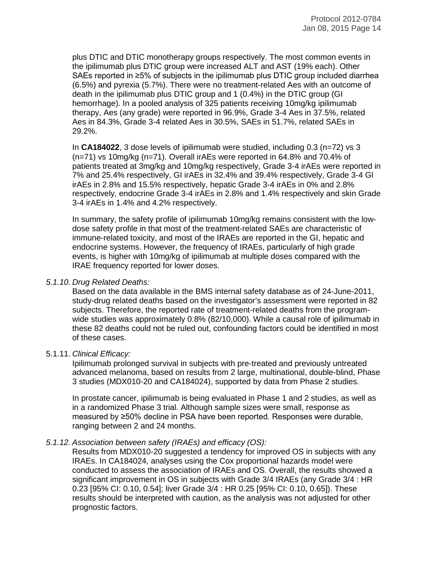plus DTIC and DTIC monotherapy groups respectively. The most common events in the ipilimumab plus DTIC group were increased ALT and AST (19% each). Other SAEs reported in ≥5% of subjects in the ipilimumab plus DTIC group included diarrhea (6.5%) and pyrexia (5.7%). There were no treatment-related Aes with an outcome of death in the ipilimumab plus DTIC group and 1 (0.4%) in the DTIC group (GI hemorrhage). In a pooled analysis of 325 patients receiving 10mg/kg ipilimumab therapy, Aes (any grade) were reported in 96.9%, Grade 3-4 Aes in 37.5%, related Aes in 84.3%, Grade 3-4 related Aes in 30.5%, SAEs in 51.7%, related SAEs in 29.2%.

In **CA184022**, 3 dose levels of ipilimumab were studied, including 0.3 (n=72) vs 3 (n=71) vs 10mg/kg (n=71). Overall irAEs were reported in 64.8% and 70.4% of patients treated at 3mg/kg and 10mg/kg respectively, Grade 3-4 irAEs were reported in 7% and 25.4% respectively, GI irAEs in 32.4% and 39.4% respectively, Grade 3-4 GI irAEs in 2.8% and 15.5% respectively, hepatic Grade 3-4 irAEs in 0% and 2.8% respectively, endocrine Grade 3-4 irAEs in 2.8% and 1.4% respectively and skin Grade 3-4 irAEs in 1.4% and 4.2% respectively.

In summary, the safety profile of ipilimumab 10mg/kg remains consistent with the lowdose safety profile in that most of the treatment-related SAEs are characteristic of immune-related toxicity, and most of the IRAEs are reported in the GI, hepatic and endocrine systems. However, the frequency of IRAEs, particularly of high grade events, is higher with 10mg/kg of ipilimumab at multiple doses compared with the IRAE frequency reported for lower doses.

#### *5.1.10. Drug Related Deaths:*

Based on the data available in the BMS internal safety database as of 24-June-2011, study-drug related deaths based on the investigator's assessment were reported in 82 subjects. Therefore, the reported rate of treatment-related deaths from the programwide studies was approximately 0.8% (82/10,000). While a causal role of ipilimumab in these 82 deaths could not be ruled out, confounding factors could be identified in most of these cases.

#### 5.1.11. *Clinical Efficacy:*

Ipilimumab prolonged survival in subjects with pre-treated and previously untreated advanced melanoma, based on results from 2 large, multinational, double-blind, Phase 3 studies (MDX010-20 and CA184024), supported by data from Phase 2 studies.

In prostate cancer, ipilimumab is being evaluated in Phase 1 and 2 studies, as well as in a randomized Phase 3 trial. Although sample sizes were small, response as measured by ≥50% decline in PSA have been reported. Responses were durable, ranging between 2 and 24 months.

#### *5.1.12. Association between safety (IRAEs) and efficacy (OS):*

Results from MDX010-20 suggested a tendency for improved OS in subjects with any IRAEs. In CA184024, analyses using the Cox proportional hazards model were conducted to assess the association of IRAEs and OS. Overall, the results showed a significant improvement in OS in subjects with Grade 3/4 IRAEs (any Grade 3/4 : HR 0.23 [95% CI: 0.10, 0.54]; liver Grade 3/4 : HR 0.25 [95% CI: 0.10, 0.65]). These results should be interpreted with caution, as the analysis was not adjusted for other prognostic factors.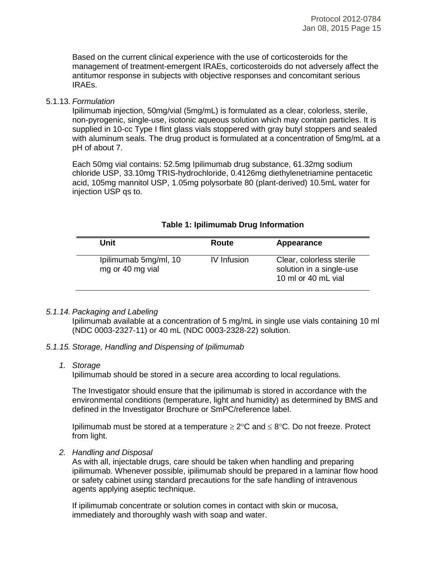Based on the current clinical experience with the use of corticosteroids for the management of treatment-emergent IRAEs, corticosteroids do not adversely affect the antitumor response in subjects with objective responses and concomitant serious IRAEs.

#### 5.1.13. *Formulation*

Ipilimumab injection, 50mg/vial (5mg/mL) is formulated as a clear, colorless, sterile, non-pyrogenic, single-use, isotonic aqueous solution which may contain particles. It is supplied in 10-cc Type I flint glass vials stoppered with gray butyl stoppers and sealed with aluminum seals. The drug product is formulated at a concentration of 5mg/mL at a pH of about 7.

Each 50mg vial contains: 52.5mg Ipilimumab drug substance, 61.32mg sodium chloride USP, 33.10mg TRIS-hydrochloride, 0.4126mg diethylenetriamine pentacetic acid, 105mg mannitol USP, 1.05mg polysorbate 80 (plant-derived) 10.5mL water for injection USP qs to.

| Unit                                      | Route       | Appearance                                                                  |
|-------------------------------------------|-------------|-----------------------------------------------------------------------------|
| Ipilimumab 5mg/ml, 10<br>mg or 40 mg vial | IV Infusion | Clear, colorless sterile<br>solution in a single-use<br>10 ml or 40 mL vial |

#### **Table 1: Ipilimumab Drug Information**

#### *5.1.14. Packaging and Labeling*

Ipilimumab available at a concentration of 5 mg/mL in single use vials containing 10 ml (NDC 0003-2327-11) or 40 mL (NDC 0003-2328-22) solution.

#### *5.1.15. Storage, Handling and Dispensing of Ipilimumab*

#### *1. Storage*

Ipilimumab should be stored in a secure area according to local regulations.

The Investigator should ensure that the ipilimumab is stored in accordance with the environmental conditions (temperature, light and humidity) as determined by BMS and defined in the Investigator Brochure or SmPC/reference label.

Ipilimumab must be stored at a temperature  $\geq 2^{\circ}C$  and  $\leq 8^{\circ}C$ . Do not freeze. Protect from light.

*2. Handling and Disposal*

As with all, injectable drugs, care should be taken when handling and preparing ipilimumab. Whenever possible, ipilimumab should be prepared in a laminar flow hood or safety cabinet using standard precautions for the safe handling of intravenous agents applying aseptic technique.

If ipilimumab concentrate or solution comes in contact with skin or mucosa, immediately and thoroughly wash with soap and water.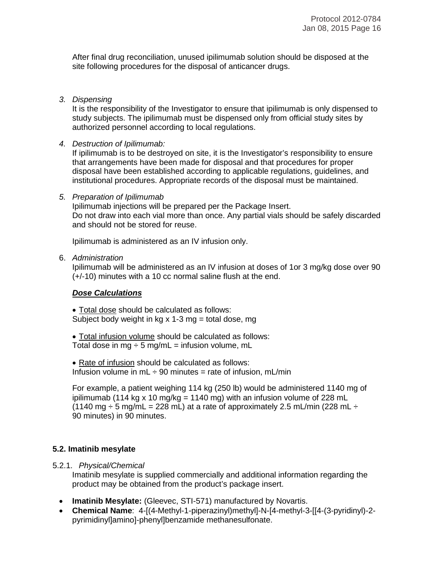After final drug reconciliation, unused ipilimumab solution should be disposed at the site following procedures for the disposal of anticancer drugs.

*3. Dispensing*

It is the responsibility of the Investigator to ensure that ipilimumab is only dispensed to study subjects. The ipilimumab must be dispensed only from official study sites by authorized personnel according to local regulations.

*4. Destruction of Ipilimumab:*

If ipilimumab is to be destroyed on site, it is the Investigator's responsibility to ensure that arrangements have been made for disposal and that procedures for proper disposal have been established according to applicable regulations, guidelines, and institutional procedures. Appropriate records of the disposal must be maintained.

#### *5. Preparation of Ipilimumab*

Ipilimumab injections will be prepared per the Package Insert. Do not draw into each vial more than once. Any partial vials should be safely discarded and should not be stored for reuse.

Ipilimumab is administered as an IV infusion only.

#### 6. *Administration*

Ipilimumab will be administered as an IV infusion at doses of 1or 3 mg/kg dose over 90 (+/-10) minutes with a 10 cc normal saline flush at the end.

#### *Dose Calculations*

• Total dose should be calculated as follows: Subject body weight in kg  $x$  1-3 mg = total dose, mg

• Total infusion volume should be calculated as follows: Total dose in mg  $\div$  5 mg/mL = infusion volume, mL

• Rate of infusion should be calculated as follows: Infusion volume in mL  $\div$  90 minutes = rate of infusion, mL/min

For example, a patient weighing 114 kg (250 lb) would be administered 1140 mg of ipilimumab (114 kg x 10 mg/kg = 1140 mg) with an infusion volume of 228 mL (1140 mg  $\div$  5 mg/mL = 228 mL) at a rate of approximately 2.5 mL/min (228 mL  $\div$ 90 minutes) in 90 minutes.

#### **5.2. Imatinib mesylate**

5.2.1. *Physical/Chemical*

Imatinib mesylate is supplied commercially and additional information regarding the product may be obtained from the product's package insert.

- **Imatinib Mesylate:** (Gleevec, STI-571) manufactured by Novartis.
- **Chemical Name**: 4-[(4-Methyl-1-piperazinyl)methyl]-N-[4-methyl-3-[[4-(3-pyridinyl)-2 pyrimidinyl]amino]-phenyl]benzamide methanesulfonate.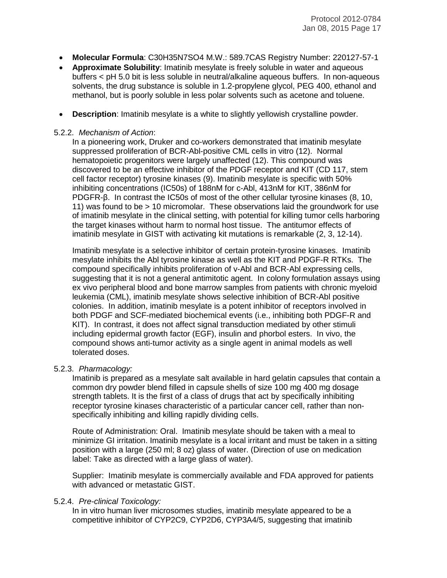- **Molecular Formula**: C30H35N7SO4 M.W.: 589.7CAS Registry Number: 220127-57-1
- **Approximate Solubility**: Imatinib mesylate is freely soluble in water and aqueous buffers < pH 5.0 bit is less soluble in neutral/alkaline aqueous buffers. In non-aqueous solvents, the drug substance is soluble in 1.2-propylene glycol, PEG 400, ethanol and methanol, but is poorly soluble in less polar solvents such as acetone and toluene.
- **Description:** Imatinib mesylate is a white to slightly yellowish crystalline powder.

#### 5.2.2. *Mechanism of Action*:

In a pioneering work, Druker and co-workers demonstrated that imatinib mesylate suppressed proliferation of BCR-Abl-positive CML cells in vitro (12). Normal hematopoietic progenitors were largely unaffected (12). This compound was discovered to be an effective inhibitor of the PDGF receptor and KIT (CD 117, stem cell factor receptor) tyrosine kinases (9). Imatinib mesylate is specific with 50% inhibiting concentrations (IC50s) of 188nM for c-Abl, 413nM for KIT, 386nM for PDGFR-β. In contrast the IC50s of most of the other cellular tyrosine kinases (8, 10, 11) was found to be > 10 micromolar. These observations laid the groundwork for use of imatinib mesylate in the clinical setting, with potential for killing tumor cells harboring the target kinases without harm to normal host tissue. The antitumor effects of imatinib mesylate in GIST with activating kit mutations is remarkable (2, 3, 12-14).

Imatinib mesylate is a selective inhibitor of certain protein-tyrosine kinases. Imatinib mesylate inhibits the Abl tyrosine kinase as well as the KIT and PDGF-R RTKs. The compound specifically inhibits proliferation of v-Abl and BCR-Abl expressing cells, suggesting that it is not a general antimitotic agent. In colony formulation assays using ex vivo peripheral blood and bone marrow samples from patients with chronic myeloid leukemia (CML), imatinib mesylate shows selective inhibition of BCR-Abl positive colonies. In addition, imatinib mesylate is a potent inhibitor of receptors involved in both PDGF and SCF-mediated biochemical events (i.e., inhibiting both PDGF-R and KIT). In contrast, it does not affect signal transduction mediated by other stimuli including epidermal growth factor (EGF), insulin and phorbol esters. In vivo, the compound shows anti-tumor activity as a single agent in animal models as well tolerated doses.

#### 5.2.3. *Pharmacology:*

Imatinib is prepared as a mesylate salt available in hard gelatin capsules that contain a common dry powder blend filled in capsule shells of size 100 mg 400 mg dosage strength tablets. It is the first of a class of drugs that act by specifically inhibiting receptor tyrosine kinases characteristic of a particular cancer cell, rather than nonspecifically inhibiting and killing rapidly dividing cells.

Route of Administration: Oral. Imatinib mesylate should be taken with a meal to minimize GI irritation. Imatinib mesylate is a local irritant and must be taken in a sitting position with a large (250 ml; 8 oz) glass of water. (Direction of use on medication label: Take as directed with a large glass of water).

Supplier: Imatinib mesylate is commercially available and FDA approved for patients with advanced or metastatic GIST.

#### 5.2.4. *Pre-clinical Toxicology:*

In in vitro human liver microsomes studies, imatinib mesylate appeared to be a competitive inhibitor of CYP2C9, CYP2D6, CYP3A4/5, suggesting that imatinib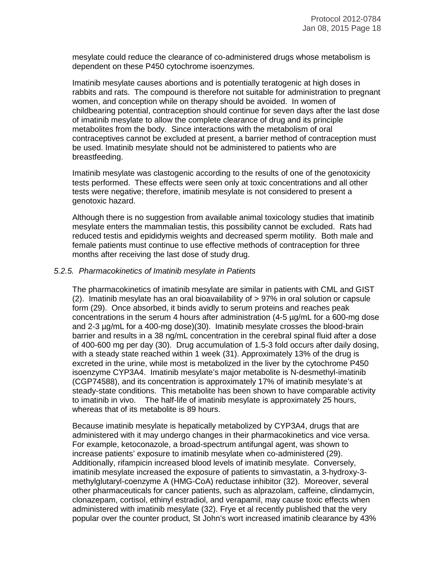mesylate could reduce the clearance of co-administered drugs whose metabolism is dependent on these P450 cytochrome isoenzymes.

Imatinib mesylate causes abortions and is potentially teratogenic at high doses in rabbits and rats. The compound is therefore not suitable for administration to pregnant women, and conception while on therapy should be avoided. In women of childbearing potential, contraception should continue for seven days after the last dose of imatinib mesylate to allow the complete clearance of drug and its principle metabolites from the body. Since interactions with the metabolism of oral contraceptives cannot be excluded at present, a barrier method of contraception must be used. Imatinib mesylate should not be administered to patients who are breastfeeding.

Imatinib mesylate was clastogenic according to the results of one of the genotoxicity tests performed. These effects were seen only at toxic concentrations and all other tests were negative; therefore, imatinib mesylate is not considered to present a genotoxic hazard.

Although there is no suggestion from available animal toxicology studies that imatinib mesylate enters the mammalian testis, this possibility cannot be excluded. Rats had reduced testis and epididymis weights and decreased sperm motility. Both male and female patients must continue to use effective methods of contraception for three months after receiving the last dose of study drug.

#### *5.2.5. Pharmacokinetics of Imatinib mesylate in Patients*

The pharmacokinetics of imatinib mesylate are similar in patients with CML and GIST (2). Imatinib mesylate has an oral bioavailability of > 97% in oral solution or capsule form (29). Once absorbed, it binds avidly to serum proteins and reaches peak concentrations in the serum 4 hours after administration (4-5 µg/mL for a 600-mg dose and 2-3 µg/mL for a 400-mg dose)(30). Imatinib mesylate crosses the blood-brain barrier and results in a 38 ng/mL concentration in the cerebral spinal fluid after a dose of 400-600 mg per day (30). Drug accumulation of 1.5-3 fold occurs after daily dosing, with a steady state reached within 1 week (31). Approximately 13% of the drug is excreted in the urine, while most is metabolized in the liver by the cytochrome P450 isoenzyme CYP3A4. Imatinib mesylate's major metabolite is N-desmethyl-imatinib (CGP74588), and its concentration is approximately 17% of imatinib mesylate's at steady-state conditions. This metabolite has been shown to have comparable activity to imatinib in vivo. The half-life of imatinib mesylate is approximately 25 hours, whereas that of its metabolite is 89 hours.

Because imatinib mesylate is hepatically metabolized by CYP3A4, drugs that are administered with it may undergo changes in their pharmacokinetics and vice versa. For example, ketoconazole, a broad-spectrum antifungal agent, was shown to increase patients' exposure to imatinib mesylate when co-administered (29). Additionally, rifampicin increased blood levels of imatinib mesylate. Conversely, imatinib mesylate increased the exposure of patients to simvastatin, a 3-hydroxy-3 methylglutaryl-coenzyme A (HMG-CoA) reductase inhibitor (32). Moreover, several other pharmaceuticals for cancer patients, such as alprazolam, caffeine, clindamycin, clonazepam, cortisol, ethinyl estradiol, and verapamil, may cause toxic effects when administered with imatinib mesylate (32). Frye et al recently published that the very popular over the counter product, St John's wort increased imatinib clearance by 43%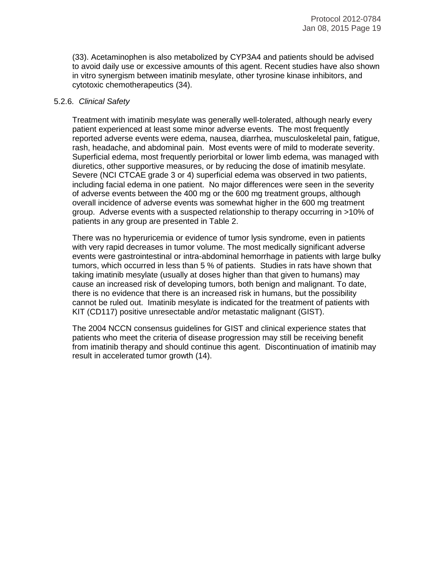(33). Acetaminophen is also metabolized by CYP3A4 and patients should be advised to avoid daily use or excessive amounts of this agent. Recent studies have also shown in vitro synergism between imatinib mesylate, other tyrosine kinase inhibitors, and cytotoxic chemotherapeutics (34).

#### 5.2.6. *Clinical Safety*

Treatment with imatinib mesylate was generally well-tolerated, although nearly every patient experienced at least some minor adverse events. The most frequently reported adverse events were edema, nausea, diarrhea, musculoskeletal pain, fatigue, rash, headache, and abdominal pain. Most events were of mild to moderate severity. Superficial edema, most frequently periorbital or lower limb edema, was managed with diuretics, other supportive measures, or by reducing the dose of imatinib mesylate. Severe (NCI CTCAE grade 3 or 4) superficial edema was observed in two patients, including facial edema in one patient. No major differences were seen in the severity of adverse events between the 400 mg or the 600 mg treatment groups, although overall incidence of adverse events was somewhat higher in the 600 mg treatment group. Adverse events with a suspected relationship to therapy occurring in >10% of patients in any group are presented in Table 2.

There was no hyperuricemia or evidence of tumor lysis syndrome, even in patients with very rapid decreases in tumor volume. The most medically significant adverse events were gastrointestinal or intra-abdominal hemorrhage in patients with large bulky tumors, which occurred in less than 5 % of patients. Studies in rats have shown that taking imatinib mesylate (usually at doses higher than that given to humans) may cause an increased risk of developing tumors, both benign and malignant. To date, there is no evidence that there is an increased risk in humans, but the possibility cannot be ruled out. Imatinib mesylate is indicated for the treatment of patients with KIT (CD117) positive unresectable and/or metastatic malignant (GIST).

The 2004 NCCN consensus guidelines for GIST and clinical experience states that patients who meet the criteria of disease progression may still be receiving benefit from imatinib therapy and should continue this agent. Discontinuation of imatinib may result in accelerated tumor growth (14).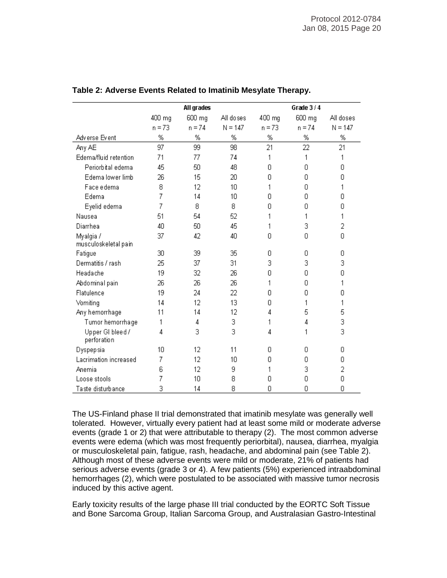|                                 |          | All grades |           |          | Grade 3/4 |           |
|---------------------------------|----------|------------|-----------|----------|-----------|-----------|
|                                 | 400 mg   | 600 mg     | All doses | 400 mg   | 600 mg    | All doses |
|                                 | $n = 73$ | $n = 74$   | $N = 147$ | $n = 73$ | $n = 74$  | $N = 147$ |
| Adverse Event                   | %        | %          | %         | %        | %         | %         |
| Any AE                          | 97       | 99         | 98        | 21       | 22        | 21        |
| Edema/fluid retention           | 71       | 77         | 74        | 1        | 1         | 1         |
| Periorbital edema               | 45       | 50         | 48        | 0        | 0         | Ω         |
| Edema lower limb                | 26       | 15         | 20        | 0        | 0         | 0         |
| Face edema                      | 8        | 12         | 10        | 1        | 0         | 1         |
| Edema                           | 7        | 14         | 10        | 0        | 0         | Ω         |
| Eyelid edema                    | 7        | 8          | 8         | n        | Ω         | Ω         |
| Nausea                          | 51       | 54         | 52        | 1        | 1         | 1         |
| Diarrhea                        | 40       | 50         | 45        | 1        | 3         | 2         |
| Myalgia /                       | 37       | 42         | 40        | 0        | 0         | 0         |
| musculoskeletal pain            |          |            |           |          |           |           |
| Fatigue                         | 30       | 39         | 35        | 0        | 0         | 0         |
| Dermatitis / rash               | 25       | 37         | 31        | 3        | 3         | 3         |
| Headache                        | 19       | 32         | 26        | 0        | 0         | 0         |
| Abdominal pain                  | 26       | 26         | 26        | 1        | 0         | 1         |
| Flatulence                      | 19       | 24         | 22        | 0        | 0         | 0         |
| Vomiting                        | 14       | 12         | 13        | 0        | 1         | 1         |
| Any hemorrhage                  | 11       | 14         | 12        | 4        | 5         | 5         |
| Tumor hemorrhage                | 1        | 4          | 3         | 1        | 4         | 3         |
| Upper GI bleed /<br>perforation | 4        | 3          | 3         | 4        | 1         | 3         |
| Dyspepsia                       | 10       | 12         | 11        | 0.       | Ο         | 0         |
| Lacrimation increased           | 7        | 12         | 10        | 0        | 0         | 0         |
| Anemia                          | 6        | 12         | 9         | 1        | 3         | 2         |
| Loose stools                    | 7        | 10         | 8         | Ω        | 0         | 0         |
| Taste disturbance               | 3        | 14         | 8         | 0        | 0         | 0         |

#### **Table 2: Adverse Events Related to Imatinib Mesylate Therapy.**

The US-Finland phase II trial demonstrated that imatinib mesylate was generally well tolerated. However, virtually every patient had at least some mild or moderate adverse events (grade 1 or 2) that were attributable to therapy (2). The most common adverse events were edema (which was most frequently periorbital), nausea, diarrhea, myalgia or musculoskeletal pain, fatigue, rash, headache, and abdominal pain (see Table 2). Although most of these adverse events were mild or moderate, 21% of patients had serious adverse events (grade 3 or 4). A few patients (5%) experienced intraabdominal hemorrhages (2), which were postulated to be associated with massive tumor necrosis induced by this active agent.

Early toxicity results of the large phase III trial conducted by the EORTC Soft Tissue and Bone Sarcoma Group, Italian Sarcoma Group, and Australasian Gastro-Intestinal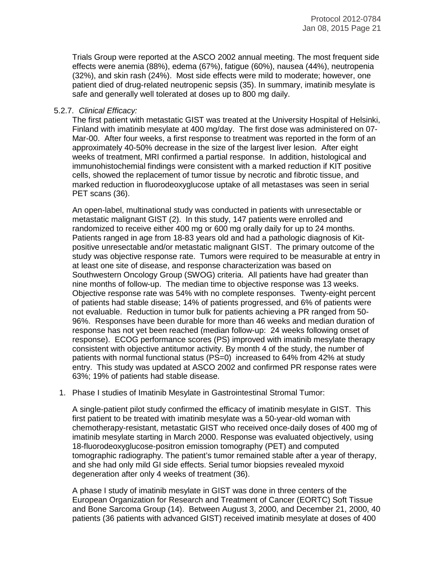Trials Group were reported at the ASCO 2002 annual meeting. The most frequent side effects were anemia (88%), edema (67%), fatigue (60%), nausea (44%), neutropenia (32%), and skin rash (24%). Most side effects were mild to moderate; however, one patient died of drug-related neutropenic sepsis (35). In summary, imatinib mesylate is safe and generally well tolerated at doses up to 800 mg daily.

#### 5.2.7. *Clinical Efficacy:*

The first patient with metastatic GIST was treated at the University Hospital of Helsinki, Finland with imatinib mesylate at 400 mg/day. The first dose was administered on 07- Mar-00. After four weeks, a first response to treatment was reported in the form of an approximately 40-50% decrease in the size of the largest liver lesion. After eight weeks of treatment, MRI confirmed a partial response. In addition, histological and immunohistochemial findings were consistent with a marked reduction if KIT positive cells, showed the replacement of tumor tissue by necrotic and fibrotic tissue, and marked reduction in fluorodeoxyglucose uptake of all metastases was seen in serial PET scans (36).

An open-label, multinational study was conducted in patients with unresectable or metastatic malignant GIST (2). In this study, 147 patients were enrolled and randomized to receive either 400 mg or 600 mg orally daily for up to 24 months. Patients ranged in age from 18-83 years old and had a pathologic diagnosis of Kitpositive unresectable and/or metastatic malignant GIST. The primary outcome of the study was objective response rate. Tumors were required to be measurable at entry in at least one site of disease, and response characterization was based on Southwestern Oncology Group (SWOG) criteria. All patients have had greater than nine months of follow-up. The median time to objective response was 13 weeks. Objective response rate was 54% with no complete responses. Twenty-eight percent of patients had stable disease; 14% of patients progressed, and 6% of patients were not evaluable. Reduction in tumor bulk for patients achieving a PR ranged from 50- 96%. Responses have been durable for more than 46 weeks and median duration of response has not yet been reached (median follow-up: 24 weeks following onset of response). ECOG performance scores (PS) improved with imatinib mesylate therapy consistent with objective antitumor activity. By month 4 of the study, the number of patients with normal functional status (PS=0) increased to 64% from 42% at study entry. This study was updated at ASCO 2002 and confirmed PR response rates were 63%; 19% of patients had stable disease.

1. Phase I studies of Imatinib Mesylate in Gastrointestinal Stromal Tumor:

A single-patient pilot study confirmed the efficacy of imatinib mesylate in GIST. This first patient to be treated with imatinib mesylate was a 50-year-old woman with chemotherapy-resistant, metastatic GIST who received once-daily doses of 400 mg of imatinib mesylate starting in March 2000. Response was evaluated objectively, using 18-fluorodeoxyglucose-positron emission tomography (PET) and computed tomographic radiography. The patient's tumor remained stable after a year of therapy, and she had only mild GI side effects. Serial tumor biopsies revealed myxoid degeneration after only 4 weeks of treatment (36).

A phase I study of imatinib mesylate in GIST was done in three centers of the European Organization for Research and Treatment of Cancer (EORTC) Soft Tissue and Bone Sarcoma Group (14). Between August 3, 2000, and December 21, 2000, 40 patients (36 patients with advanced GIST) received imatinib mesylate at doses of 400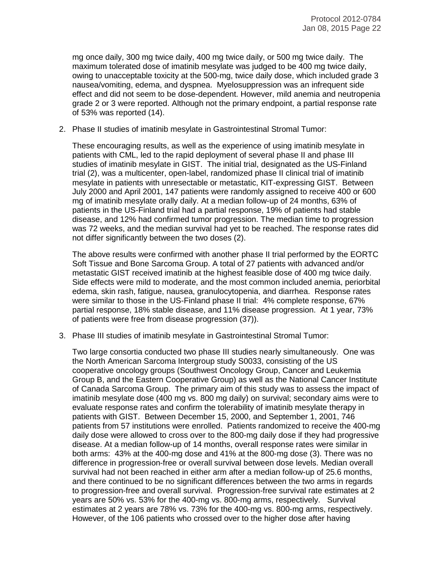mg once daily, 300 mg twice daily, 400 mg twice daily, or 500 mg twice daily. The maximum tolerated dose of imatinib mesylate was judged to be 400 mg twice daily, owing to unacceptable toxicity at the 500-mg, twice daily dose, which included grade 3 nausea/vomiting, edema, and dyspnea. Myelosuppression was an infrequent side effect and did not seem to be dose-dependent. However, mild anemia and neutropenia grade 2 or 3 were reported. Although not the primary endpoint, a partial response rate of 53% was reported (14).

2. Phase II studies of imatinib mesylate in Gastrointestinal Stromal Tumor:

These encouraging results, as well as the experience of using imatinib mesylate in patients with CML, led to the rapid deployment of several phase II and phase III studies of imatinib mesylate in GIST. The initial trial, designated as the US-Finland trial (2), was a multicenter, open-label, randomized phase II clinical trial of imatinib mesylate in patients with unresectable or metastatic, KIT-expressing GIST. Between July 2000 and April 2001, 147 patients were randomly assigned to receive 400 or 600 mg of imatinib mesylate orally daily. At a median follow-up of 24 months, 63% of patients in the US-Finland trial had a partial response, 19% of patients had stable disease, and 12% had confirmed tumor progression. The median time to progression was 72 weeks, and the median survival had yet to be reached. The response rates did not differ significantly between the two doses (2).

The above results were confirmed with another phase II trial performed by the EORTC Soft Tissue and Bone Sarcoma Group. A total of 27 patients with advanced and/or metastatic GIST received imatinib at the highest feasible dose of 400 mg twice daily. Side effects were mild to moderate, and the most common included anemia, periorbital edema, skin rash, fatigue, nausea, granulocytopenia, and diarrhea. Response rates were similar to those in the US-Finland phase II trial: 4% complete response, 67% partial response, 18% stable disease, and 11% disease progression. At 1 year, 73% of patients were free from disease progression (37)).

3. Phase III studies of imatinib mesylate in Gastrointestinal Stromal Tumor:

Two large consortia conducted two phase III studies nearly simultaneously. One was the North American Sarcoma Intergroup study S0033, consisting of the US cooperative oncology groups (Southwest Oncology Group, Cancer and Leukemia Group B, and the Eastern Cooperative Group) as well as the National Cancer Institute of Canada Sarcoma Group. The primary aim of this study was to assess the impact of imatinib mesylate dose (400 mg vs. 800 mg daily) on survival; secondary aims were to evaluate response rates and confirm the tolerability of imatinib mesylate therapy in patients with GIST. Between December 15, 2000, and September 1, 2001, 746 patients from 57 institutions were enrolled. Patients randomized to receive the 400-mg daily dose were allowed to cross over to the 800-mg daily dose if they had progressive disease. At a median follow-up of 14 months, overall response rates were similar in both arms: 43% at the 400-mg dose and 41% at the 800-mg dose (3). There was no difference in progression-free or overall survival between dose levels. Median overall survival had not been reached in either arm after a median follow-up of 25.6 months, and there continued to be no significant differences between the two arms in regards to progression-free and overall survival. Progression-free survival rate estimates at 2 years are 50% vs. 53% for the 400-mg vs. 800-mg arms, respectively. Survival estimates at 2 years are 78% vs. 73% for the 400-mg vs. 800-mg arms, respectively. However, of the 106 patients who crossed over to the higher dose after having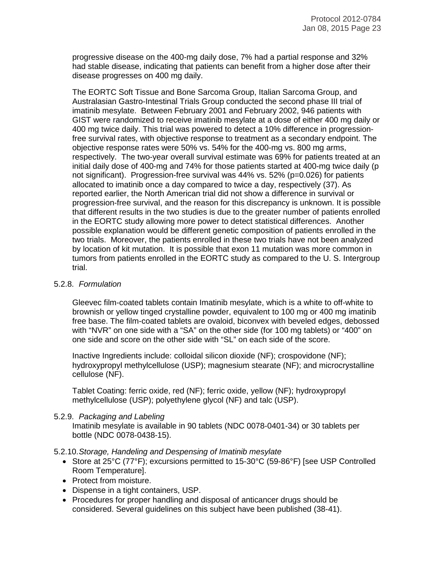progressive disease on the 400-mg daily dose, 7% had a partial response and 32% had stable disease, indicating that patients can benefit from a higher dose after their disease progresses on 400 mg daily.

The EORTC Soft Tissue and Bone Sarcoma Group, Italian Sarcoma Group, and Australasian Gastro-Intestinal Trials Group conducted the second phase III trial of imatinib mesylate. Between February 2001 and February 2002, 946 patients with GIST were randomized to receive imatinib mesylate at a dose of either 400 mg daily or 400 mg twice daily. This trial was powered to detect a 10% difference in progressionfree survival rates, with objective response to treatment as a secondary endpoint. The objective response rates were 50% vs. 54% for the 400-mg vs. 800 mg arms, respectively. The two-year overall survival estimate was 69% for patients treated at an initial daily dose of 400-mg and 74% for those patients started at 400-mg twice daily (p not significant). Progression-free survival was 44% vs. 52% (p=0.026) for patients allocated to imatinib once a day compared to twice a day, respectively (37). As reported earlier, the North American trial did not show a difference in survival or progression-free survival, and the reason for this discrepancy is unknown. It is possible that different results in the two studies is due to the greater number of patients enrolled in the EORTC study allowing more power to detect statistical differences. Another possible explanation would be different genetic composition of patients enrolled in the two trials. Moreover, the patients enrolled in these two trials have not been analyzed by location of kit mutation. It is possible that exon 11 mutation was more common in tumors from patients enrolled in the EORTC study as compared to the U. S. Intergroup trial.

#### 5.2.8. *Formulation*

Gleevec film-coated tablets contain Imatinib mesylate, which is a white to off-white to brownish or yellow tinged crystalline powder, equivalent to 100 mg or 400 mg imatinib free base. The film-coated tablets are ovaloid, biconvex with beveled edges, debossed with "NVR" on one side with a "SA" on the other side (for 100 mg tablets) or "400" on one side and score on the other side with "SL" on each side of the score.

Inactive Ingredients include: colloidal silicon dioxide (NF); crospovidone (NF); hydroxypropyl methylcellulose (USP); magnesium stearate (NF); and microcrystalline cellulose (NF).

Tablet Coating: ferric oxide, red (NF); ferric oxide, yellow (NF); hydroxypropyl methylcellulose (USP); polyethylene glycol (NF) and talc (USP).

#### 5.2.9. *Packaging and Labeling*

Imatinib mesylate is available in 90 tablets (NDC 0078-0401-34) or 30 tablets per bottle (NDC 0078-0438-15).

#### 5.2.10.*Storage, Handeling and Despensing of Imatinib mesylate*

- Store at 25°C (77°F); excursions permitted to 15-30°C (59-86°F) [see USP Controlled Room Temperature].
- Protect from moisture.
- Dispense in a tight containers, USP.
- Procedures for proper handling and disposal of anticancer drugs should be considered. Several guidelines on this subject have been published (38-41).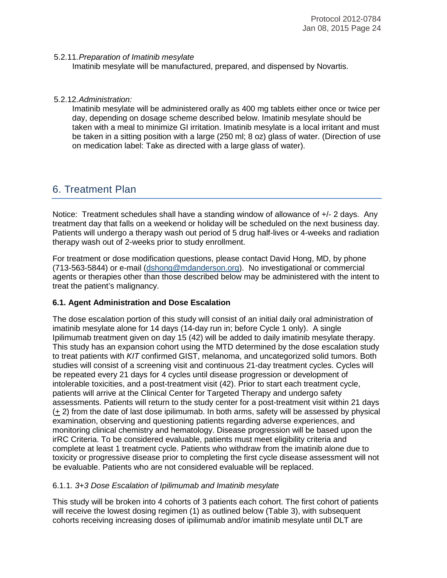#### 5.2.11.*Preparation of Imatinib mesylate*

Imatinib mesylate will be manufactured, prepared, and dispensed by Novartis.

#### 5.2.12.*Administration:*

Imatinib mesylate will be administered orally as 400 mg tablets either once or twice per day, depending on dosage scheme described below. Imatinib mesylate should be taken with a meal to minimize GI irritation. Imatinib mesylate is a local irritant and must be taken in a sitting position with a large (250 ml; 8 oz) glass of water. (Direction of use on medication label: Take as directed with a large glass of water).

# 6. Treatment Plan

Notice: Treatment schedules shall have a standing window of allowance of  $+/- 2$  days. Any treatment day that falls on a weekend or holiday will be scheduled on the next business day. Patients will undergo a therapy wash out period of 5 drug half-lives or 4-weeks and radiation therapy wash out of 2-weeks prior to study enrollment.

For treatment or dose modification questions, please contact David Hong, MD, by phone (713-563-5844) or e-mail [\(dshong@mdanderson.org\)](mailto:dshong@mdanderson.org). No investigational or commercial agents or therapies other than those described below may be administered with the intent to treat the patient's malignancy.

#### **6.1. Agent Administration and Dose Escalation**

The dose escalation portion of this study will consist of an initial daily oral administration of imatinib mesylate alone for 14 days (14-day run in; before Cycle 1 only). A single Ipilimumab treatment given on day 15 (42) will be added to daily imatinib mesylate therapy. This study has an expansion cohort using the MTD determined by the dose escalation study to treat patients with *KIT* confirmed GIST, melanoma, and uncategorized solid tumors. Both studies will consist of a screening visit and continuous 21-day treatment cycles. Cycles will be repeated every 21 days for 4 cycles until disease progression or development of intolerable toxicities, and a post-treatment visit (42). Prior to start each treatment cycle, patients will arrive at the Clinical Center for Targeted Therapy and undergo safety assessments. Patients will return to the study center for a post-treatment visit within 21 days (+ 2) from the date of last dose ipilimumab. In both arms, safety will be assessed by physical examination, observing and questioning patients regarding adverse experiences, and monitoring clinical chemistry and hematology. Disease progression will be based upon the irRC Criteria. To be considered evaluable, patients must meet eligibility criteria and complete at least 1 treatment cycle. Patients who withdraw from the imatinib alone due to toxicity or progressive disease prior to completing the first cycle disease assessment will not be evaluable. Patients who are not considered evaluable will be replaced.

#### 6.1.1. *3+3 Dose Escalation of Ipilimumab and Imatinib mesylate*

This study will be broken into 4 cohorts of 3 patients each cohort. The first cohort of patients will receive the lowest dosing regimen (1) as outlined below (Table 3), with subsequent cohorts receiving increasing doses of ipilimumab and/or imatinib mesylate until DLT are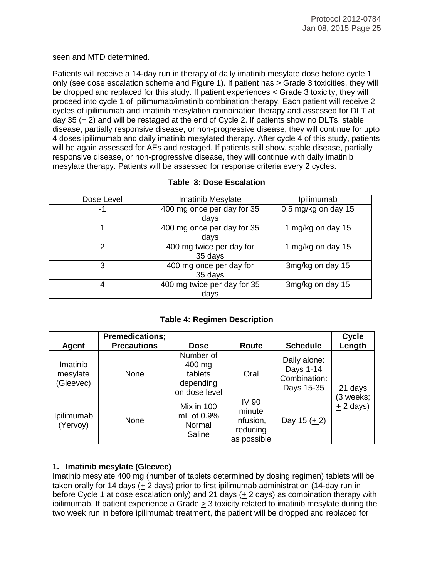seen and MTD determined.

Patients will receive a 14-day run in therapy of daily imatinib mesylate dose before cycle 1 only (see dose escalation scheme and Figure 1). If patient has > Grade 3 toxicities, they will be dropped and replaced for this study. If patient experiences < Grade 3 toxicity, they will proceed into cycle 1 of ipilimumab/imatinib combination therapy. Each patient will receive 2 cycles of ipilimumab and imatinib mesylation combination therapy and assessed for DLT at day 35  $(+ 2)$  and will be restaged at the end of Cycle 2. If patients show no DLTs, stable disease, partially responsive disease, or non-progressive disease, they will continue for upto 4 doses ipilimumab and daily imatinib mesylated therapy. After cycle 4 of this study, patients will be again assessed for AEs and restaged. If patients still show, stable disease, partially responsive disease, or non-progressive disease, they will continue with daily imatinib mesylate therapy. Patients will be assessed for response criteria every 2 cycles.

#### **Table 3: Dose Escalation**

| Dose Level | Imatinib Mesylate                   | Ipilimumab          |
|------------|-------------------------------------|---------------------|
| -1         | 400 mg once per day for 35<br>days  | 0.5 mg/kg on day 15 |
|            | 400 mg once per day for 35<br>days  | 1 mg/kg on day 15   |
| 2          | 400 mg twice per day for<br>35 days | 1 mg/kg on day 15   |
| 3          | 400 mg once per day for<br>35 days  | 3mg/kg on day 15    |
| 4          | 400 mg twice per day for 35<br>days | 3mg/kg on day 15    |

#### **Table 4: Regimen Description**

|                                   | <b>Premedications;</b> |                                                              |                                                                |                                                         | Cycle                   |
|-----------------------------------|------------------------|--------------------------------------------------------------|----------------------------------------------------------------|---------------------------------------------------------|-------------------------|
| Agent                             | <b>Precautions</b>     | <b>Dose</b>                                                  | Route                                                          | <b>Schedule</b>                                         | Length                  |
| Imatinib<br>mesylate<br>(Gleevec) | None                   | Number of<br>400 mg<br>tablets<br>depending<br>on dose level | Oral                                                           | Daily alone:<br>Days 1-14<br>Combination:<br>Days 15-35 | 21 days                 |
| Ipilimumab<br>(Yervoy)            | None                   | Mix in 100<br>mL of 0.9%<br>Normal<br>Saline                 | <b>IV 90</b><br>minute<br>infusion,<br>reducing<br>as possible | Day 15 $(1)$                                            | (3 weeks;<br>$+2$ days) |

#### **1. Imatinib mesylate (Gleevec)**

Imatinib mesylate 400 mg (number of tablets determined by dosing regimen) tablets will be taken orally for 14 days (+ 2 days) prior to first ipilimumab administration (14-day run in before Cycle 1 at dose escalation only) and 21 days (+ 2 days) as combination therapy with ipilimumab. If patient experience a Grade > 3 toxicity related to imatinib mesylate during the two week run in before ipilimumab treatment, the patient will be dropped and replaced for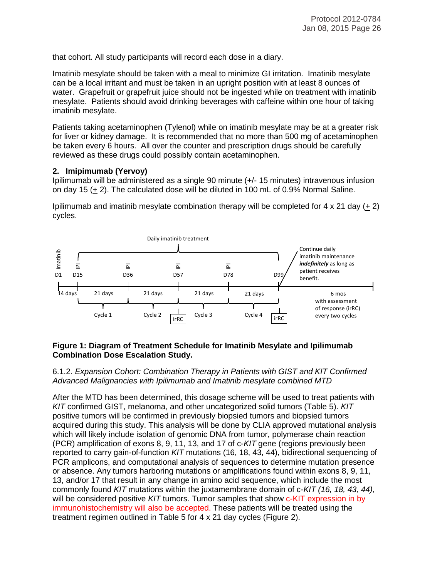that cohort. All study participants will record each dose in a diary.

Imatinib mesylate should be taken with a meal to minimize GI irritation. Imatinib mesylate can be a local irritant and must be taken in an upright position with at least 8 ounces of water. Grapefruit or grapefruit juice should not be ingested while on treatment with imatinib mesylate. Patients should avoid drinking beverages with caffeine within one hour of taking imatinib mesylate.

Patients taking acetaminophen (Tylenol) while on imatinib mesylate may be at a greater risk for liver or kidney damage. It is recommended that no more than 500 mg of acetaminophen be taken every 6 hours. All over the counter and prescription drugs should be carefully reviewed as these drugs could possibly contain acetaminophen.

#### **2. Imipimumab (Yervoy)**

Ipilimumab will be administered as a single 90 minute (+/- 15 minutes) intravenous infusion on day 15 (+ 2). The calculated dose will be diluted in 100 mL of 0.9% Normal Saline.

Ipilimumab and imatinib mesylate combination therapy will be completed for  $4 \times 21$  day  $(+ 2)$ cycles.



#### **Figure 1: Diagram of Treatment Schedule for Imatinib Mesylate and Ipilimumab Combination Dose Escalation Study.**

#### 6.1.2. *Expansion Cohort: Combination Therapy in Patients with GIST and KIT Confirmed Advanced Malignancies with Ipilimumab and Imatinib mesylate combined MTD*

After the MTD has been determined, this dosage scheme will be used to treat patients with *KIT* confirmed GIST, melanoma, and other uncategorized solid tumors (Table 5). *KIT*  positive tumors will be confirmed in previously biopsied tumors and biopsied tumors acquired during this study. This analysis will be done by CLIA approved mutational analysis which will likely include isolation of genomic DNA from tumor, polymerase chain reaction (PCR) amplification of exons 8, 9, 11, 13, and 17 of c-*KIT* gene (regions previously been reported to carry gain-of-function *KIT* mutations (16, 18, 43, 44), bidirectional sequencing of PCR amplicons, and computational analysis of sequences to determine mutation presence or absence. Any tumors harboring mutations or amplifications found within exons 8, 9, 11, 13, and/or 17 that result in any change in amino acid sequence, which include the most commonly found *KIT* mutations within the juxtamembrane domain of c-*KIT (16, 18, 43, 44)*, will be considered positive *KIT* tumors. Tumor samples that show c-KIT expression in by immunohistochemistry will also be accepted. These patients will be treated using the treatment regimen outlined in Table 5 for 4 x 21 day cycles (Figure 2).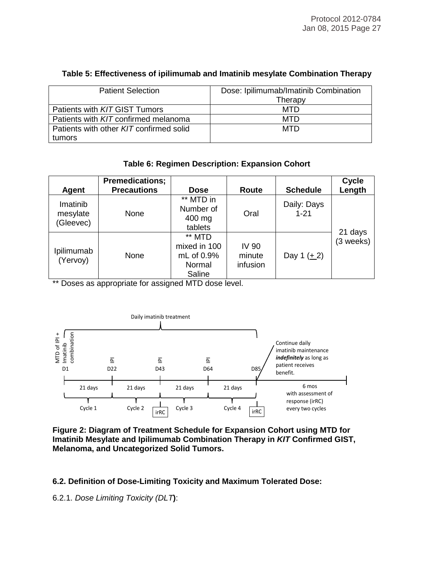| <b>Patient Selection</b>                | Dose: Ipilimumab/Imatinib Combination |
|-----------------------------------------|---------------------------------------|
|                                         | Therapy                               |
| Patients with KIT GIST Tumors           | MTD                                   |
| Patients with KIT confirmed melanoma    | <b>MTD</b>                            |
| Patients with other KIT confirmed solid | <b>MTD</b>                            |
| tumors                                  |                                       |

### **Table 5: Effectiveness of ipilimumab and Imatinib mesylate Combination Therapy**

# **Table 6: Regimen Description: Expansion Cohort**

| <b>Agent</b>           | <b>Premedications;</b><br><b>Precautions</b> | <b>Dose</b>                                              | Route                              | <b>Schedule</b>         | <b>Cycle</b><br>Length |
|------------------------|----------------------------------------------|----------------------------------------------------------|------------------------------------|-------------------------|------------------------|
| Imatinib<br>mesylate   | None                                         | ** MTD in<br>Number of                                   | Oral                               | Daily: Days<br>$1 - 21$ |                        |
| (Gleevec)              |                                              | 400 mg<br>tablets                                        |                                    |                         | 21 days                |
| Ipilimumab<br>(Yervoy) | None                                         | ** MTD<br>mixed in 100<br>mL of 0.9%<br>Normal<br>Saline | <b>IV 90</b><br>minute<br>infusion | Day 1 $(1 + 2)$         | (3 weeks)              |

\*\* Doses as appropriate for assigned MTD dose level.



**Figure 2: Diagram of Treatment Schedule for Expansion Cohort using MTD for Imatinib Mesylate and Ipilimumab Combination Therapy in** *KIT* **Confirmed GIST, Melanoma, and Uncategorized Solid Tumors.**

**6.2. Definition of Dose-Limiting Toxicity and Maximum Tolerated Dose:**

6.2.1. *Dose Limiting Toxicity (DLT***)**: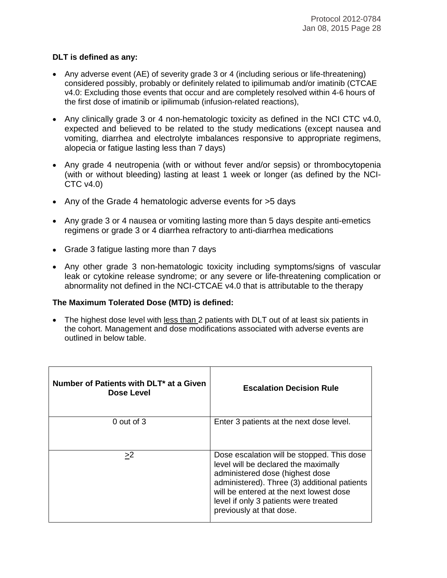#### **DLT is defined as any:**

- Any adverse event (AE) of severity grade 3 or 4 (including serious or life-threatening) considered possibly, probably or definitely related to ipilimumab and/or imatinib (CTCAE v4.0: Excluding those events that occur and are completely resolved within 4-6 hours of the first dose of imatinib or ipilimumab (infusion-related reactions),
- Any clinically grade 3 or 4 non-hematologic toxicity as defined in the NCI CTC v4.0, expected and believed to be related to the study medications (except nausea and vomiting, diarrhea and electrolyte imbalances responsive to appropriate regimens, alopecia or fatigue lasting less than 7 days)
- Any grade 4 neutropenia (with or without fever and/or sepsis) or thrombocytopenia (with or without bleeding) lasting at least 1 week or longer (as defined by the NCI-CTC v4.0)
- Any of the Grade 4 hematologic adverse events for >5 days
- Any grade 3 or 4 nausea or vomiting lasting more than 5 days despite anti-emetics regimens or grade 3 or 4 diarrhea refractory to anti-diarrhea medications
- Grade 3 fatigue lasting more than 7 days
- Any other grade 3 non-hematologic toxicity including symptoms/signs of vascular leak or cytokine release syndrome; or any severe or life-threatening complication or abnormality not defined in the NCI-CTCAE v4.0 that is attributable to the therapy

# **The Maximum Tolerated Dose (MTD) is defined:**

• The highest dose level with less than 2 patients with DLT out of at least six patients in the cohort. Management and dose modifications associated with adverse events are outlined in below table.

| Number of Patients with DLT* at a Given<br>Dose Level | <b>Escalation Decision Rule</b>                                                                                                                                                                                                                                                       |
|-------------------------------------------------------|---------------------------------------------------------------------------------------------------------------------------------------------------------------------------------------------------------------------------------------------------------------------------------------|
| $0$ out of $3$                                        | Enter 3 patients at the next dose level.                                                                                                                                                                                                                                              |
| >2                                                    | Dose escalation will be stopped. This dose<br>level will be declared the maximally<br>administered dose (highest dose<br>administered). Three (3) additional patients<br>will be entered at the next lowest dose<br>level if only 3 patients were treated<br>previously at that dose. |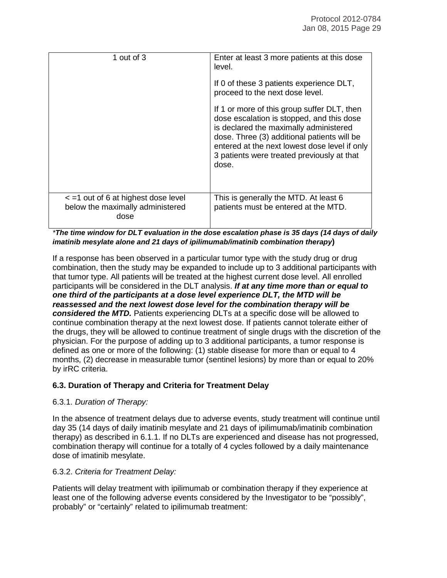| 1 out of $3$                                                                             | Enter at least 3 more patients at this dose<br>level.<br>If 0 of these 3 patients experience DLT,<br>proceed to the next dose level.<br>If 1 or more of this group suffer DLT, then<br>dose escalation is stopped, and this dose<br>is declared the maximally administered<br>dose. Three (3) additional patients will be<br>entered at the next lowest dose level if only<br>3 patients were treated previously at that<br>dose. |
|------------------------------------------------------------------------------------------|-----------------------------------------------------------------------------------------------------------------------------------------------------------------------------------------------------------------------------------------------------------------------------------------------------------------------------------------------------------------------------------------------------------------------------------|
| $\epsilon$ =1 out of 6 at highest dose level<br>below the maximally administered<br>dose | This is generally the MTD. At least 6<br>patients must be entered at the MTD.                                                                                                                                                                                                                                                                                                                                                     |

*\*The time window for DLT evaluation in the dose escalation phase is 35 days (14 days of daily imatinib mesylate alone and 21 days of ipilimumab/imatinib combination therapy***)**

If a response has been observed in a particular tumor type with the study drug or drug combination, then the study may be expanded to include up to 3 additional participants with that tumor type. All patients will be treated at the highest current dose level. All enrolled participants will be considered in the DLT analysis. *If at any time more than or equal to one third of the participants at a dose level experience DLT, the MTD will be reassessed and the next lowest dose level for the combination therapy will be considered the MTD.* Patients experiencing DLTs at a specific dose will be allowed to continue combination therapy at the next lowest dose. If patients cannot tolerate either of the drugs, they will be allowed to continue treatment of single drugs with the discretion of the physician. For the purpose of adding up to 3 additional participants, a tumor response is defined as one or more of the following: (1) stable disease for more than or equal to 4 months, (2) decrease in measurable tumor (sentinel lesions) by more than or equal to 20% by irRC criteria.

#### **6.3. Duration of Therapy and Criteria for Treatment Delay**

#### 6.3.1. *Duration of Therapy:*

In the absence of treatment delays due to adverse events, study treatment will continue until day 35 (14 days of daily imatinib mesylate and 21 days of ipilimumab/imatinib combination therapy) as described in 6.1.1. If no DLTs are experienced and disease has not progressed, combination therapy will continue for a totally of 4 cycles followed by a daily maintenance dose of imatinib mesylate.

#### 6.3.2. *Criteria for Treatment Delay:*

Patients will delay treatment with ipilimumab or combination therapy if they experience at least one of the following adverse events considered by the Investigator to be "possibly", probably" or "certainly" related to ipilimumab treatment: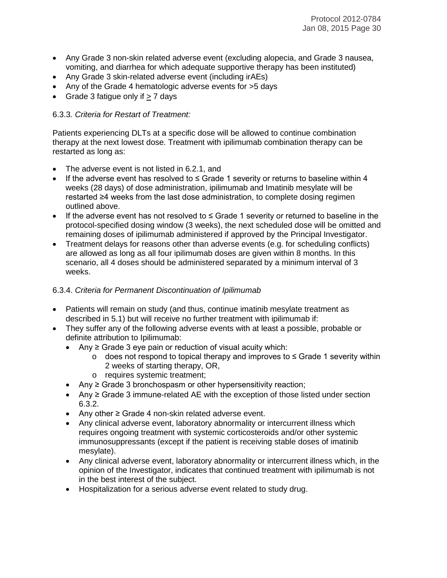- Any Grade 3 non-skin related adverse event (excluding alopecia, and Grade 3 nausea, vomiting, and diarrhea for which adequate supportive therapy has been instituted)
- Any Grade 3 skin-related adverse event (including irAEs)
- Any of the Grade 4 hematologic adverse events for >5 days
- Grade 3 fatigue only if  $> 7$  days

# 6.3.3. *Criteria for Restart of Treatment:*

Patients experiencing DLTs at a specific dose will be allowed to continue combination therapy at the next lowest dose. Treatment with ipilimumab combination therapy can be restarted as long as:

- The adverse event is not listed in 6.2.1, and
- If the adverse event has resolved to ≤ Grade 1 severity or returns to baseline within 4 weeks (28 days) of dose administration, ipilimumab and Imatinib mesylate will be restarted ≥4 weeks from the last dose administration, to complete dosing regimen outlined above.
- If the adverse event has not resolved to ≤ Grade 1 severity or returned to baseline in the protocol-specified dosing window (3 weeks), the next scheduled dose will be omitted and remaining doses of ipilimumab administered if approved by the Principal Investigator.
- Treatment delays for reasons other than adverse events (e.g. for scheduling conflicts) are allowed as long as all four ipilimumab doses are given within 8 months. In this scenario, all 4 doses should be administered separated by a minimum interval of 3 weeks.

# 6.3.4. *Criteria for Permanent Discontinuation of Ipilimumab*

- Patients will remain on study (and thus, continue imatinib mesylate treatment as described in 5.1) but will receive no further treatment with ipilimumab if:
- They suffer any of the following adverse events with at least a possible, probable or definite attribution to Ipilimumab:
	- Any  $\geq$  Grade 3 eye pain or reduction of visual acuity which:
		- o does not respond to topical therapy and improves to ≤ Grade 1 severity within 2 weeks of starting therapy, OR,
		- o requires systemic treatment;
	- Any ≥ Grade 3 bronchospasm or other hypersensitivity reaction;
	- Any ≥ Grade 3 immune-related AE with the exception of those listed under section 6.3.2.
	- Any other ≥ Grade 4 non-skin related adverse event.
	- Any clinical adverse event, laboratory abnormality or intercurrent illness which requires ongoing treatment with systemic corticosteroids and/or other systemic immunosuppressants (except if the patient is receiving stable doses of imatinib mesylate).
	- Any clinical adverse event, laboratory abnormality or intercurrent illness which, in the opinion of the Investigator, indicates that continued treatment with ipilimumab is not in the best interest of the subject.
	- Hospitalization for a serious adverse event related to study drug.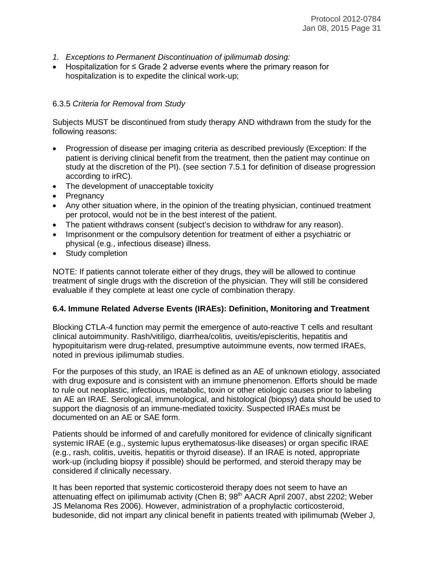- *1. Exceptions to Permanent Discontinuation of ipilimumab dosing:*
- Hospitalization for ≤ Grade 2 adverse events where the primary reason for hospitalization is to expedite the clinical work-up;

#### 6.3.5 *Criteria for Removal from Study*

Subjects MUST be discontinued from study therapy AND withdrawn from the study for the following reasons:

- Progression of disease per imaging criteria as described previously (Exception: If the patient is deriving clinical benefit from the treatment, then the patient may continue on study at the discretion of the PI). (see section 7.5.1 for definition of disease progression according to irRC).
- The development of unacceptable toxicity
- Pregnancy
- Any other situation where, in the opinion of the treating physician, continued treatment per protocol, would not be in the best interest of the patient.
- The patient withdraws consent (subject's decision to withdraw for any reason).
- Imprisonment or the compulsory detention for treatment of either a psychiatric or physical (e.g., infectious disease) illness.
- Study completion

NOTE: If patients cannot tolerate either of they drugs, they will be allowed to continue treatment of single drugs with the discretion of the physician. They will still be considered evaluable if they complete at least one cycle of combination therapy.

#### **6.4. Immune Related Adverse Events (IRAEs): Definition, Monitoring and Treatment**

Blocking CTLA-4 function may permit the emergence of auto-reactive T cells and resultant clinical autoimmunity. Rash/vitiligo, diarrhea/colitis, uveitis/episcleritis, hepatitis and hypopituitarism were drug-related, presumptive autoimmune events, now termed IRAEs, noted in previous ipilimumab studies.

For the purposes of this study, an IRAE is defined as an AE of unknown etiology, associated with drug exposure and is consistent with an immune phenomenon. Efforts should be made to rule out neoplastic, infectious, metabolic, toxin or other etiologic causes prior to labeling an AE an IRAE. Serological, immunological, and histological (biopsy) data should be used to support the diagnosis of an immune-mediated toxicity. Suspected IRAEs must be documented on an AE or SAE form.

Patients should be informed of and carefully monitored for evidence of clinically significant systemic IRAE (e.g., systemic lupus erythematosus-like diseases) or organ specific IRAE (e.g., rash, colitis, uveitis, hepatitis or thyroid disease). If an IRAE is noted, appropriate work-up (including biopsy if possible) should be performed, and steroid therapy may be considered if clinically necessary.

It has been reported that systemic corticosteroid therapy does not seem to have an attenuating effect on ipilimumab activity (Chen B; 98<sup>th</sup> AACR April 2007, abst 2202; Weber JS Melanoma Res 2006). However, administration of a prophylactic corticosteroid, budesonide, did not impart any clinical benefit in patients treated with ipilimumab (Weber J,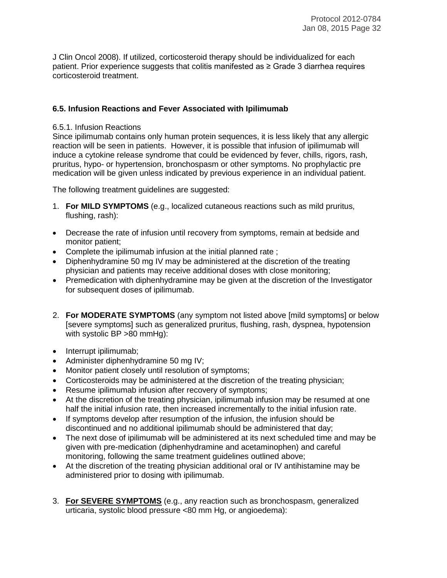J Clin Oncol 2008). If utilized, corticosteroid therapy should be individualized for each patient. Prior experience suggests that colitis manifested as ≥ Grade 3 diarrhea requires corticosteroid treatment.

#### **6.5. Infusion Reactions and Fever Associated with Ipilimumab**

#### 6.5.1. Infusion Reactions

Since ipilimumab contains only human protein sequences, it is less likely that any allergic reaction will be seen in patients. However, it is possible that infusion of ipilimumab will induce a cytokine release syndrome that could be evidenced by fever, chills, rigors, rash, pruritus, hypo- or hypertension, bronchospasm or other symptoms. No prophylactic pre medication will be given unless indicated by previous experience in an individual patient.

The following treatment guidelines are suggested:

- 1. **For MILD SYMPTOMS** (e.g., localized cutaneous reactions such as mild pruritus, flushing, rash):
- Decrease the rate of infusion until recovery from symptoms, remain at bedside and monitor patient;
- Complete the ipilimumab infusion at the initial planned rate ;
- Diphenhydramine 50 mg IV may be administered at the discretion of the treating physician and patients may receive additional doses with close monitoring;
- Premedication with diphenhydramine may be given at the discretion of the Investigator for subsequent doses of ipilimumab.
- 2. **For MODERATE SYMPTOMS** (any symptom not listed above [mild symptoms] or below [severe symptoms] such as generalized pruritus, flushing, rash, dyspnea, hypotension with systolic BP >80 mmHg):
- Interrupt ipilimumab;
- Administer diphenhydramine 50 mg IV;
- Monitor patient closely until resolution of symptoms;
- Corticosteroids may be administered at the discretion of the treating physician;
- Resume ipilimumab infusion after recovery of symptoms;
- At the discretion of the treating physician, ipilimumab infusion may be resumed at one half the initial infusion rate, then increased incrementally to the initial infusion rate.
- If symptoms develop after resumption of the infusion, the infusion should be discontinued and no additional ipilimumab should be administered that day;
- The next dose of ipilimumab will be administered at its next scheduled time and may be given with pre-medication (diphenhydramine and acetaminophen) and careful monitoring, following the same treatment guidelines outlined above;
- At the discretion of the treating physician additional oral or IV antihistamine may be administered prior to dosing with ipilimumab.
- 3. **For SEVERE SYMPTOMS** (e.g., any reaction such as bronchospasm, generalized urticaria, systolic blood pressure <80 mm Hg, or angioedema):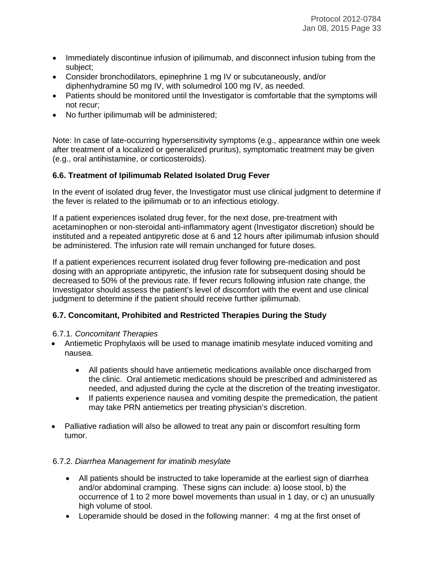- Immediately discontinue infusion of ipilimumab, and disconnect infusion tubing from the subject;
- Consider bronchodilators, epinephrine 1 mg IV or subcutaneously, and/or diphenhydramine 50 mg IV, with solumedrol 100 mg IV, as needed.
- Patients should be monitored until the Investigator is comfortable that the symptoms will not recur;
- No further ipilimumab will be administered;

Note: In case of late-occurring hypersensitivity symptoms (e.g., appearance within one week after treatment of a localized or generalized pruritus), symptomatic treatment may be given (e.g., oral antihistamine, or corticosteroids).

#### **6.6. Treatment of Ipilimumab Related Isolated Drug Fever**

In the event of isolated drug fever, the Investigator must use clinical judgment to determine if the fever is related to the ipilimumab or to an infectious etiology.

If a patient experiences isolated drug fever, for the next dose, pre-treatment with acetaminophen or non-steroidal anti-inflammatory agent (Investigator discretion) should be instituted and a repeated antipyretic dose at 6 and 12 hours after ipilimumab infusion should be administered. The infusion rate will remain unchanged for future doses.

If a patient experiences recurrent isolated drug fever following pre-medication and post dosing with an appropriate antipyretic, the infusion rate for subsequent dosing should be decreased to 50% of the previous rate. If fever recurs following infusion rate change, the Investigator should assess the patient's level of discomfort with the event and use clinical judgment to determine if the patient should receive further ipilimumab.

# **6.7. Concomitant, Prohibited and Restricted Therapies During the Study**

#### 6.7.1. *Concomitant Therapies*

- Antiemetic Prophylaxis will be used to manage imatinib mesylate induced vomiting and nausea.
	- All patients should have antiemetic medications available once discharged from the clinic. Oral antiemetic medications should be prescribed and administered as needed, and adjusted during the cycle at the discretion of the treating investigator.
	- If patients experience nausea and vomiting despite the premedication, the patient may take PRN antiemetics per treating physician's discretion.
- Palliative radiation will also be allowed to treat any pain or discomfort resulting form tumor.

#### 6.7.2. *Diarrhea Management for imatinib mesylate*

- All patients should be instructed to take loperamide at the earliest sign of diarrhea and/or abdominal cramping. These signs can include: a) loose stool, b) the occurrence of 1 to 2 more bowel movements than usual in 1 day, or c) an unusually high volume of stool.
- Loperamide should be dosed in the following manner: 4 mg at the first onset of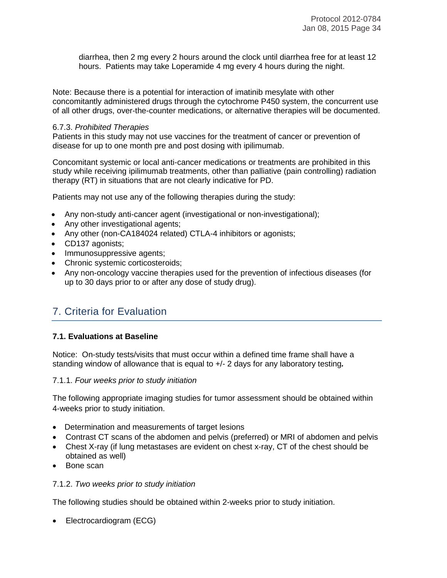diarrhea, then 2 mg every 2 hours around the clock until diarrhea free for at least 12 hours. Patients may take Loperamide 4 mg every 4 hours during the night.

Note: Because there is a potential for interaction of imatinib mesylate with other concomitantly administered drugs through the cytochrome P450 system, the concurrent use of all other drugs, over-the-counter medications, or alternative therapies will be documented.

#### 6.7.3. *Prohibited Therapies*

Patients in this study may not use vaccines for the treatment of cancer or prevention of disease for up to one month pre and post dosing with ipilimumab.

Concomitant systemic or local anti-cancer medications or treatments are prohibited in this study while receiving ipilimumab treatments, other than palliative (pain controlling) radiation therapy (RT) in situations that are not clearly indicative for PD.

Patients may not use any of the following therapies during the study:

- Any non-study anti-cancer agent (investigational or non-investigational);
- Any other investigational agents;
- Any other (non-CA184024 related) CTLA-4 inhibitors or agonists;
- CD137 agonists;
- Immunosuppressive agents;
- Chronic systemic corticosteroids;
- Any non-oncology vaccine therapies used for the prevention of infectious diseases (for up to 30 days prior to or after any dose of study drug).

# 7. Criteria for Evaluation

#### **7.1. Evaluations at Baseline**

Notice: On-study tests/visits that must occur within a defined time frame shall have a standing window of allowance that is equal to +/- 2 days for any laboratory testing*.* 

#### 7.1.1. *Four weeks prior to study initiation*

The following appropriate imaging studies for tumor assessment should be obtained within 4-weeks prior to study initiation.

- Determination and measurements of target lesions
- Contrast CT scans of the abdomen and pelvis (preferred) or MRI of abdomen and pelvis
- Chest X-ray (if lung metastases are evident on chest x-ray, CT of the chest should be obtained as well)
- Bone scan

#### 7.1.2. *Two weeks prior to study initiation*

The following studies should be obtained within 2-weeks prior to study initiation.

• Electrocardiogram (ECG)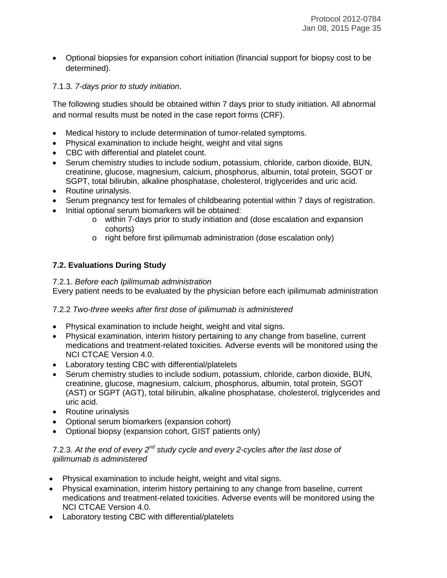• Optional biopsies for expansion cohort initiation (financial support for biopsy cost to be determined).

# 7.1.3. *7-days prior to study initiation*.

The following studies should be obtained within 7 days prior to study initiation. All abnormal and normal results must be noted in the case report forms (CRF).

- Medical history to include determination of tumor-related symptoms.
- Physical examination to include height, weight and vital signs
- CBC with differential and platelet count.
- Serum chemistry studies to include sodium, potassium, chloride, carbon dioxide, BUN, creatinine, glucose, magnesium, calcium, phosphorus, albumin, total protein, SGOT or SGPT, total bilirubin, alkaline phosphatase, cholesterol, triglycerides and uric acid.
- Routine urinalysis.
- Serum pregnancy test for females of childbearing potential within 7 days of registration.
- Initial optional serum biomarkers will be obtained:
	- o within 7-days prior to study initiation and (dose escalation and expansion cohorts)
	- o right before first ipilimumab administration (dose escalation only)

# **7.2. Evaluations During Study**

# 7.2.1. *Before each Ipilimumab administration*

Every patient needs to be evaluated by the physician before each ipilimumab administration

# 7.2.2 *Two-three weeks after first dose of ipilimumab is administered*

- Physical examination to include height, weight and vital signs.
- Physical examination, interim history pertaining to any change from baseline, current medications and treatment-related toxicities. Adverse events will be monitored using the NCI CTCAE Version 4.0.
- Laboratory testing CBC with differential/platelets
- Serum chemistry studies to include sodium, potassium, chloride, carbon dioxide, BUN, creatinine, glucose, magnesium, calcium, phosphorus, albumin, total protein, SGOT (AST) or SGPT (AGT), total bilirubin, alkaline phosphatase, cholesterol, triglycerides and uric acid.
- Routine urinalysis
- Optional serum biomarkers (expansion cohort)
- Optional biopsy (expansion cohort, GIST patients only)

#### 7.2.3. *At the end of every 2nd study cycle and every 2-cycles after the last dose of ipilimumab is administered*

- Physical examination to include height, weight and vital signs.
- Physical examination, interim history pertaining to any change from baseline, current medications and treatment-related toxicities. Adverse events will be monitored using the NCI CTCAE Version 4.0.
- Laboratory testing CBC with differential/platelets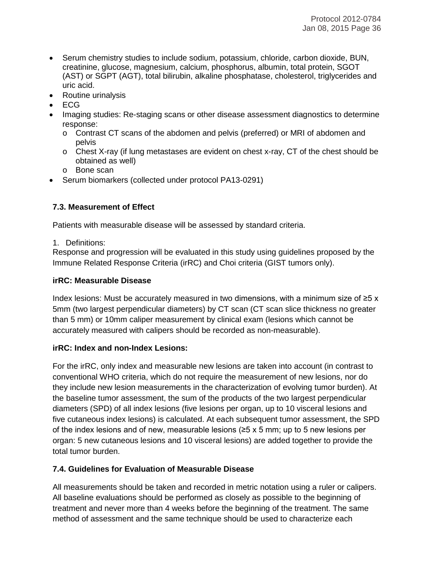- Serum chemistry studies to include sodium, potassium, chloride, carbon dioxide, BUN, creatinine, glucose, magnesium, calcium, phosphorus, albumin, total protein, SGOT (AST) or SGPT (AGT), total bilirubin, alkaline phosphatase, cholesterol, triglycerides and uric acid.
- Routine urinalysis
- ECG
- Imaging studies: Re-staging scans or other disease assessment diagnostics to determine response:
	- o Contrast CT scans of the abdomen and pelvis (preferred) or MRI of abdomen and pelvis
	- $\circ$  Chest X-ray (if lung metastases are evident on chest x-ray, CT of the chest should be obtained as well)
	- o Bone scan
- Serum biomarkers (collected under protocol PA13-0291)

# **7.3. Measurement of Effect**

Patients with measurable disease will be assessed by standard criteria.

1. Definitions:

Response and progression will be evaluated in this study using guidelines proposed by the Immune Related Response Criteria (irRC) and Choi criteria (GIST tumors only).

# **irRC: Measurable Disease**

Index lesions: Must be accurately measured in two dimensions, with a minimum size of  $\geq 5$  x 5mm (two largest perpendicular diameters) by CT scan (CT scan slice thickness no greater than 5 mm) or 10mm caliper measurement by clinical exam (lesions which cannot be accurately measured with calipers should be recorded as non-measurable).

# **irRC: Index and non-Index Lesions:**

For the irRC, only index and measurable new lesions are taken into account (in contrast to conventional WHO criteria, which do not require the measurement of new lesions, nor do they include new lesion measurements in the characterization of evolving tumor burden). At the baseline tumor assessment, the sum of the products of the two largest perpendicular diameters (SPD) of all index lesions (five lesions per organ, up to 10 visceral lesions and five cutaneous index lesions) is calculated. At each subsequent tumor assessment, the SPD of the index lesions and of new, measurable lesions ( $\geq$ 5 x 5 mm; up to 5 new lesions per organ: 5 new cutaneous lesions and 10 visceral lesions) are added together to provide the total tumor burden.

# **7.4. Guidelines for Evaluation of Measurable Disease**

All measurements should be taken and recorded in metric notation using a ruler or calipers. All baseline evaluations should be performed as closely as possible to the beginning of treatment and never more than 4 weeks before the beginning of the treatment. The same method of assessment and the same technique should be used to characterize each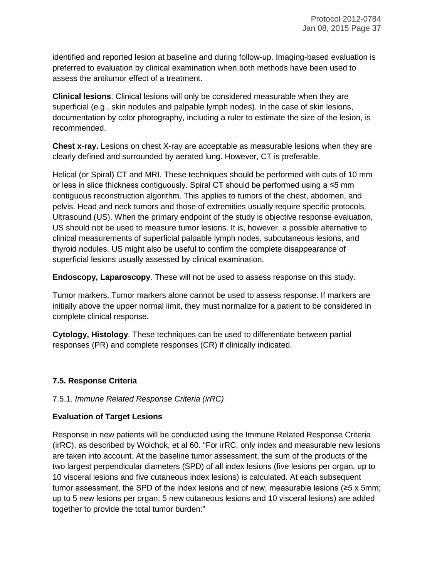identified and reported lesion at baseline and during follow-up. Imaging-based evaluation is preferred to evaluation by clinical examination when both methods have been used to assess the antitumor effect of a treatment.

**Clinical lesions**. Clinical lesions will only be considered measurable when they are superficial (e.g., skin nodules and palpable lymph nodes). In the case of skin lesions, documentation by color photography, including a ruler to estimate the size of the lesion, is recommended.

**Chest x-ray.** Lesions on chest X-ray are acceptable as measurable lesions when they are clearly defined and surrounded by aerated lung. However, CT is preferable.

Helical (or Spiral) CT and MRI. These techniques should be performed with cuts of 10 mm or less in slice thickness contiguously. Spiral CT should be performed using  $a \le 5$  mm contiguous reconstruction algorithm. This applies to tumors of the chest, abdomen, and pelvis. Head and neck tumors and those of extremities usually require specific protocols. Ultrasound (US). When the primary endpoint of the study is objective response evaluation, US should not be used to measure tumor lesions. It is, however, a possible alternative to clinical measurements of superficial palpable lymph nodes, subcutaneous lesions, and thyroid nodules. US might also be useful to confirm the complete disappearance of superficial lesions usually assessed by clinical examination.

**Endoscopy, Laparoscopy**. These will not be used to assess response on this study.

Tumor markers. Tumor markers alone cannot be used to assess response. If markers are initially above the upper normal limit, they must normalize for a patient to be considered in complete clinical response.

**Cytology, Histology**. These techniques can be used to differentiate between partial responses (PR) and complete responses (CR) if clinically indicated.

# **7.5. Response Criteria**

# 7.5.1. *Immune Related Response Criteria (irRC)*

# **Evaluation of Target Lesions**

Response in new patients will be conducted using the Immune Related Response Criteria (irRC), as described by Wolchok, et al 60. "For irRC, only index and measurable new lesions are taken into account. At the baseline tumor assessment, the sum of the products of the two largest perpendicular diameters (SPD) of all index lesions (five lesions per organ, up to 10 visceral lesions and five cutaneous index lesions) is calculated. At each subsequent tumor assessment, the SPD of the index lesions and of new, measurable lesions ( $\geq 5$  x 5mm; up to 5 new lesions per organ: 5 new cutaneous lesions and 10 visceral lesions) are added together to provide the total tumor burden:"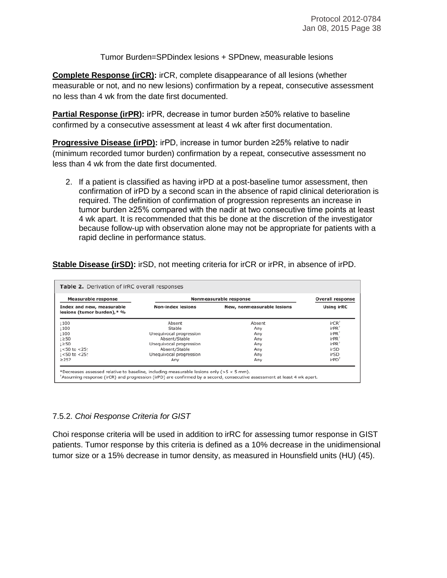Tumor Burden=SPDindex lesions + SPDnew, measurable lesions

**Complete Response (irCR):** irCR, complete disappearance of all lesions (whether measurable or not, and no new lesions) confirmation by a repeat, consecutive assessment no less than 4 wk from the date first documented.

**Partial Response (irPR):** irPR, decrease in tumor burden ≥50% relative to baseline confirmed by a consecutive assessment at least 4 wk after first documentation.

**Progressive Disease (irPD):** irPD, increase in tumor burden ≥25% relative to nadir (minimum recorded tumor burden) confirmation by a repeat, consecutive assessment no less than 4 wk from the date first documented.

2. If a patient is classified as having irPD at a post-baseline tumor assessment, then confirmation of irPD by a second scan in the absence of rapid clinical deterioration is required. The definition of confirmation of progression represents an increase in tumor burden ≥25% compared with the nadir at two consecutive time points at least 4 wk apart. It is recommended that this be done at the discretion of the investigator because follow-up with observation alone may not be appropriate for patients with a rapid decline in performance status.

| <b>Measurable response</b>                              | Nonmeasurable response   | <b>Overall response</b>    |                     |
|---------------------------------------------------------|--------------------------|----------------------------|---------------------|
| Index and new, measurable<br>lesions (tumor burden),* % | <b>Non-index lesions</b> | New, nonmeasurable lesions | <b>Using irRC</b>   |
| 1100                                                    | Absent                   | Absent                     | irCR <sup>†</sup>   |
| 100                                                     | Stable                   | Anv                        | $irPR^{\dagger}$    |
| 100                                                     | Unequivocal progression  | Any                        | $irPR^{\dagger}$    |
| ⊥≥50                                                    | Absent/Stable            | Any                        | $irPR$ <sup>†</sup> |
| 1≥50                                                    | Unequivocal progression  | Any                        | $irPR^+$            |
| ⊥<50 to <25↑                                            | Absent/Stable            | Any                        | irSD                |
| ⊥<50 to <25↑                                            | Unequivocal progression  | Any                        | irSD                |
| >25?                                                    | Anv                      | Any                        | irPD <sup>†</sup>   |

# **Stable Disease (irSD):** irSD, not meeting criteria for irCR or irPR, in absence of irPD.

# 7.5.2. *Choi Response Criteria for GIST*

Choi response criteria will be used in addition to irRC for assessing tumor response in GIST patients. Tumor response by this criteria is defined as a 10% decrease in the unidimensional tumor size or a 15% decrease in tumor density, as measured in Hounsfield units (HU) (45).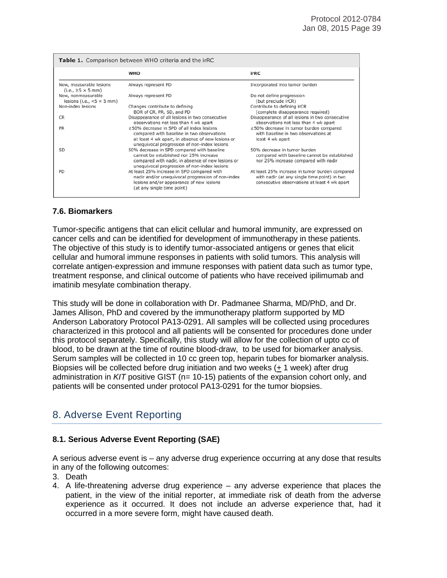| <b>Table 1.</b> Comparison between WHO criteria and the irRC                 |                                                                                                                                                                                           |                                                                                                                                                |  |  |  |  |  |  |  |
|------------------------------------------------------------------------------|-------------------------------------------------------------------------------------------------------------------------------------------------------------------------------------------|------------------------------------------------------------------------------------------------------------------------------------------------|--|--|--|--|--|--|--|
|                                                                              | <b>WHO</b>                                                                                                                                                                                | irRC                                                                                                                                           |  |  |  |  |  |  |  |
| New, measurable lesions<br>$(i.e., \geq 5 \times 5 mm)$                      | Always represent PD                                                                                                                                                                       | Incorporated into tumor burden                                                                                                                 |  |  |  |  |  |  |  |
| New, nonmeasurable<br>lesions (i.e., $< 5 \times 5$ mm)<br>Non-index lesions | Always represent PD<br>Changes contribute to defining                                                                                                                                     | Do not define progression<br>(but preclude irCR)<br>Contribute to defining irCR                                                                |  |  |  |  |  |  |  |
| <b>CR</b>                                                                    | BOR of CR, PR, SD, and PD<br>Disappearance of all lesions in two consecutive                                                                                                              | (complete disappearance required)<br>Disappearance of all lesions in two consecutive                                                           |  |  |  |  |  |  |  |
| <b>PR</b>                                                                    | observations not less than 4 wk apart<br>≥50% decrease in SPD of all index lesions                                                                                                        | observations not less than 4 wk apart<br>≥50% decrease in tumor burden compared                                                                |  |  |  |  |  |  |  |
|                                                                              | compared with baseline in two observations<br>at least 4 wk apart, in absence of new lesions or<br>unequivocal progression of non-index lesions                                           | with baseline in two observations at<br>least 4 wk apart                                                                                       |  |  |  |  |  |  |  |
| SD                                                                           | 50% decrease in SPD compared with baseline<br>cannot be established nor 25% increase<br>compared with nadir, in absence of new lesions or<br>unequivocal progression of non-index lesions | 50% decrease in tumor burden<br>compared with baseline cannot be established<br>nor 25% increase compared with nadir                           |  |  |  |  |  |  |  |
| PD                                                                           | At least 25% increase in SPD compared with<br>nadir and/or unequivocal progression of non-index<br>lesions and/or appearance of new lesions<br>(at any single time point)                 | At least 25% increase in tumor burden compared<br>with nadir (at any single time point) in two<br>consecutive observations at least 4 wk apart |  |  |  |  |  |  |  |

# **7.6. Biomarkers**

Tumor-specific antigens that can elicit cellular and humoral immunity, are expressed on cancer cells and can be identified for development of immunotherapy in these patients. The objective of this study is to identify tumor-associated antigens or genes that elicit cellular and humoral immune responses in patients with solid tumors. This analysis will correlate antigen-expression and immune responses with patient data such as tumor type, treatment response, and clinical outcome of patients who have received ipilimumab and imatinib mesylate combination therapy.

This study will be done in collaboration with Dr. Padmanee Sharma, MD/PhD, and Dr. James Allison, PhD and covered by the immunotherapy platform supported by MD Anderson Laboratory Protocol PA13-0291. All samples will be collected using procedures characterized in this protocol and all patients will be consented for procedures done under this protocol separately. Specifically, this study will allow for the collection of upto cc of blood, to be drawn at the time of routine blood-draw, to be used for biomarker analysis. Serum samples will be collected in 10 cc green top, heparin tubes for biomarker analysis. Biopsies will be collected before drug initiation and two weeks (+ 1 week) after drug administration in *KIT* positive GIST (n= 10-15) patients of the expansion cohort only, and patients will be consented under protocol PA13-0291 for the tumor biopsies.

# 8. Adverse Event Reporting

# **8.1. Serious Adverse Event Reporting (SAE)**

A serious adverse event is – any adverse drug experience occurring at any dose that results in any of the following outcomes:

- 3. Death
- 4. A life-threatening adverse drug experience any adverse experience that places the patient, in the view of the initial reporter, at immediate risk of death from the adverse experience as it occurred. It does not include an adverse experience that, had it occurred in a more severe form, might have caused death.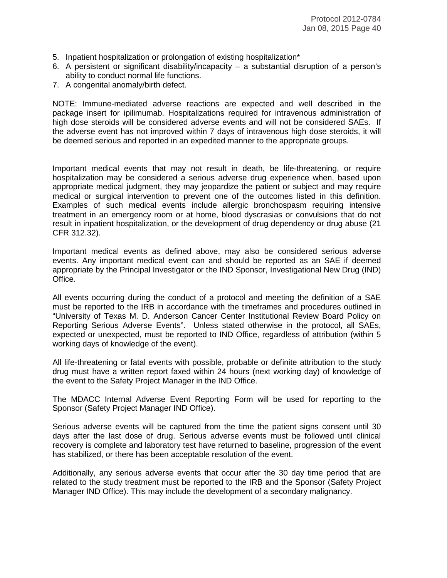- 5. Inpatient hospitalization or prolongation of existing hospitalization\*
- 6. A persistent or significant disability/incapacity a substantial disruption of a person's ability to conduct normal life functions.
- 7. A congenital anomaly/birth defect.

NOTE: Immune-mediated adverse reactions are expected and well described in the package insert for ipilimumab. Hospitalizations required for intravenous administration of high dose steroids will be considered adverse events and will not be considered SAEs. If the adverse event has not improved within 7 days of intravenous high dose steroids, it will be deemed serious and reported in an expedited manner to the appropriate groups.

Important medical events that may not result in death, be life-threatening, or require hospitalization may be considered a serious adverse drug experience when, based upon appropriate medical judgment, they may jeopardize the patient or subject and may require medical or surgical intervention to prevent one of the outcomes listed in this definition. Examples of such medical events include allergic bronchospasm requiring intensive treatment in an emergency room or at home, blood dyscrasias or convulsions that do not result in inpatient hospitalization, or the development of drug dependency or drug abuse (21 CFR 312.32).

Important medical events as defined above, may also be considered serious adverse events. Any important medical event can and should be reported as an SAE if deemed appropriate by the Principal Investigator or the IND Sponsor, Investigational New Drug (IND) Office.

All events occurring during the conduct of a protocol and meeting the definition of a SAE must be reported to the IRB in accordance with the timeframes and procedures outlined in "University of Texas M. D. Anderson Cancer Center Institutional Review Board Policy on Reporting Serious Adverse Events". Unless stated otherwise in the protocol, all SAEs, expected or unexpected, must be reported to IND Office, regardless of attribution (within 5 working days of knowledge of the event).

All life-threatening or fatal events with possible, probable or definite attribution to the study drug must have a written report faxed within 24 hours (next working day) of knowledge of the event to the Safety Project Manager in the IND Office.

The MDACC Internal Adverse Event Reporting Form will be used for reporting to the Sponsor (Safety Project Manager IND Office).

Serious adverse events will be captured from the time the patient signs consent until 30 days after the last dose of drug. Serious adverse events must be followed until clinical recovery is complete and laboratory test have returned to baseline, progression of the event has stabilized, or there has been acceptable resolution of the event.

Additionally, any serious adverse events that occur after the 30 day time period that are related to the study treatment must be reported to the IRB and the Sponsor (Safety Project Manager IND Office). This may include the development of a secondary malignancy.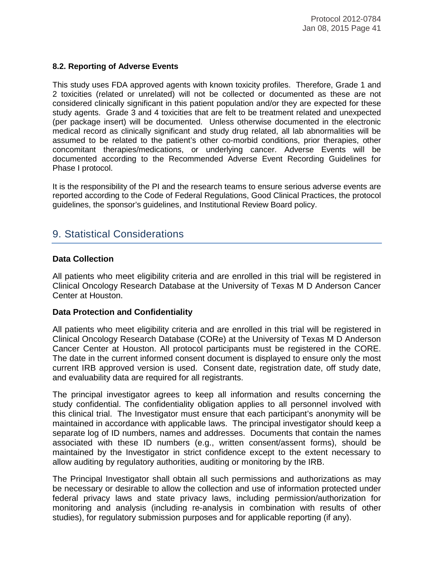#### **8.2. Reporting of Adverse Events**

This study uses FDA approved agents with known toxicity profiles. Therefore, Grade 1 and 2 toxicities (related or unrelated) will not be collected or documented as these are not considered clinically significant in this patient population and/or they are expected for these study agents. Grade 3 and 4 toxicities that are felt to be treatment related and unexpected (per package insert) will be documented. Unless otherwise documented in the electronic medical record as clinically significant and study drug related, all lab abnormalities will be assumed to be related to the patient's other co-morbid conditions, prior therapies, other concomitant therapies/medications, or underlying cancer. Adverse Events will be documented according to the Recommended Adverse Event Recording Guidelines for Phase I protocol.

It is the responsibility of the PI and the research teams to ensure serious adverse events are reported according to the Code of Federal Regulations, Good Clinical Practices, the protocol guidelines, the sponsor's guidelines, and Institutional Review Board policy.

# 9. Statistical Considerations

#### **Data Collection**

All patients who meet eligibility criteria and are enrolled in this trial will be registered in Clinical Oncology Research Database at the University of Texas M D Anderson Cancer Center at Houston.

#### **Data Protection and Confidentiality**

All patients who meet eligibility criteria and are enrolled in this trial will be registered in Clinical Oncology Research Database (CORe) at the University of Texas M D Anderson Cancer Center at Houston. All protocol participants must be registered in the CORE. The date in the current informed consent document is displayed to ensure only the most current IRB approved version is used. Consent date, registration date, off study date, and evaluability data are required for all registrants.

The principal investigator agrees to keep all information and results concerning the study confidential. The confidentiality obligation applies to all personnel involved with this clinical trial. The Investigator must ensure that each participant's anonymity will be maintained in accordance with applicable laws. The principal investigator should keep a separate log of ID numbers, names and addresses. Documents that contain the names associated with these ID numbers (e.g., written consent/assent forms), should be maintained by the Investigator in strict confidence except to the extent necessary to allow auditing by regulatory authorities, auditing or monitoring by the IRB.

The Principal Investigator shall obtain all such permissions and authorizations as may be necessary or desirable to allow the collection and use of information protected under federal privacy laws and state privacy laws, including permission/authorization for monitoring and analysis (including re-analysis in combination with results of other studies), for regulatory submission purposes and for applicable reporting (if any).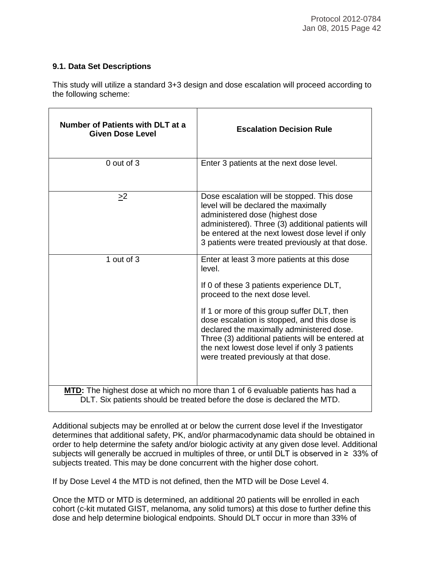### **9.1. Data Set Descriptions**

This study will utilize a standard 3+3 design and dose escalation will proceed according to the following scheme:

| Number of Patients with DLT at a<br><b>Given Dose Level</b> | <b>Escalation Decision Rule</b>                                                                                                                                                                                                                                                                                                                                                                                                |
|-------------------------------------------------------------|--------------------------------------------------------------------------------------------------------------------------------------------------------------------------------------------------------------------------------------------------------------------------------------------------------------------------------------------------------------------------------------------------------------------------------|
| 0 out of 3                                                  | Enter 3 patients at the next dose level.                                                                                                                                                                                                                                                                                                                                                                                       |
| $\geq$ <sup>2</sup>                                         | Dose escalation will be stopped. This dose<br>level will be declared the maximally<br>administered dose (highest dose<br>administered). Three (3) additional patients will<br>be entered at the next lowest dose level if only<br>3 patients were treated previously at that dose.                                                                                                                                             |
| 1 out of 3                                                  | Enter at least 3 more patients at this dose<br>level.<br>If 0 of these 3 patients experience DLT,<br>proceed to the next dose level.<br>If 1 or more of this group suffer DLT, then<br>dose escalation is stopped, and this dose is<br>declared the maximally administered dose.<br>Three (3) additional patients will be entered at<br>the next lowest dose level if only 3 patients<br>were treated previously at that dose. |
|                                                             | MTD: The highest dose at which no more than 1 of 6 evaluable patients has had a<br>DLT. Six patients should be treated before the dose is declared the MTD.                                                                                                                                                                                                                                                                    |

Additional subjects may be enrolled at or below the current dose level if the Investigator determines that additional safety, PK, and/or pharmacodynamic data should be obtained in order to help determine the safety and/or biologic activity at any given dose level. Additional subjects will generally be accrued in multiples of three, or until DLT is observed in ≥ 33% of subjects treated. This may be done concurrent with the higher dose cohort.

If by Dose Level 4 the MTD is not defined, then the MTD will be Dose Level 4.

Once the MTD or MTD is determined, an additional 20 patients will be enrolled in each cohort (c-kit mutated GIST, melanoma, any solid tumors) at this dose to further define this dose and help determine biological endpoints. Should DLT occur in more than 33% of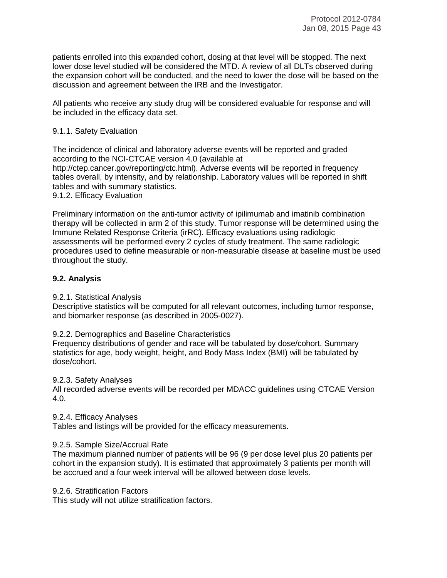patients enrolled into this expanded cohort, dosing at that level will be stopped. The next lower dose level studied will be considered the MTD. A review of all DLTs observed during the expansion cohort will be conducted, and the need to lower the dose will be based on the discussion and agreement between the IRB and the Investigator.

All patients who receive any study drug will be considered evaluable for response and will be included in the efficacy data set.

#### 9.1.1. Safety Evaluation

The incidence of clinical and laboratory adverse events will be reported and graded according to the NCI-CTCAE version 4.0 (available at http://ctep.cancer.gov/reporting/ctc.html). Adverse events will be reported in frequency tables overall, by intensity, and by relationship. Laboratory values will be reported in shift tables and with summary statistics.

9.1.2. Efficacy Evaluation

Preliminary information on the anti-tumor activity of ipilimumab and imatinib combination therapy will be collected in arm 2 of this study. Tumor response will be determined using the Immune Related Response Criteria (irRC). Efficacy evaluations using radiologic assessments will be performed every 2 cycles of study treatment. The same radiologic procedures used to define measurable or non-measurable disease at baseline must be used throughout the study.

#### **9.2. Analysis**

#### 9.2.1. Statistical Analysis

Descriptive statistics will be computed for all relevant outcomes, including tumor response, and biomarker response (as described in 2005-0027).

9.2.2. Demographics and Baseline Characteristics

Frequency distributions of gender and race will be tabulated by dose/cohort. Summary statistics for age, body weight, height, and Body Mass Index (BMI) will be tabulated by dose/cohort.

9.2.3. Safety Analyses

All recorded adverse events will be recorded per MDACC guidelines using CTCAE Version 4.0.

#### 9.2.4. Efficacy Analyses

Tables and listings will be provided for the efficacy measurements.

#### 9.2.5. Sample Size/Accrual Rate

The maximum planned number of patients will be 96 (9 per dose level plus 20 patients per cohort in the expansion study). It is estimated that approximately 3 patients per month will be accrued and a four week interval will be allowed between dose levels.

#### 9.2.6. Stratification Factors

This study will not utilize stratification factors.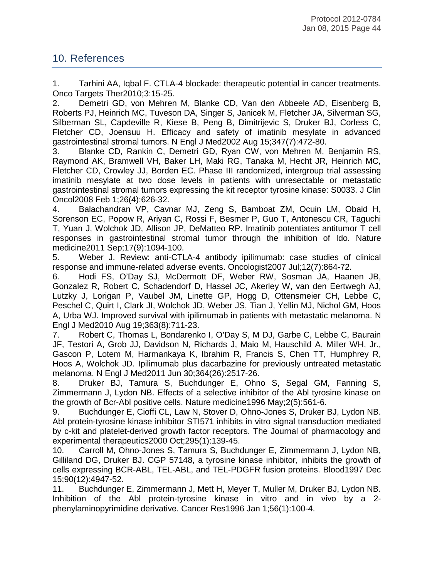# 10. References

1. Tarhini AA, Iqbal F. CTLA-4 blockade: therapeutic potential in cancer treatments. Onco Targets Ther2010;3:15-25.

2. Demetri GD, von Mehren M, Blanke CD, Van den Abbeele AD, Eisenberg B, Roberts PJ, Heinrich MC, Tuveson DA, Singer S, Janicek M, Fletcher JA, Silverman SG, Silberman SL, Capdeville R, Kiese B, Peng B, Dimitrijevic S, Druker BJ, Corless C, Fletcher CD, Joensuu H. Efficacy and safety of imatinib mesylate in advanced gastrointestinal stromal tumors. N Engl J Med2002 Aug 15;347(7):472-80.

3. Blanke CD, Rankin C, Demetri GD, Ryan CW, von Mehren M, Benjamin RS, Raymond AK, Bramwell VH, Baker LH, Maki RG, Tanaka M, Hecht JR, Heinrich MC, Fletcher CD, Crowley JJ, Borden EC. Phase III randomized, intergroup trial assessing imatinib mesylate at two dose levels in patients with unresectable or metastatic gastrointestinal stromal tumors expressing the kit receptor tyrosine kinase: S0033. J Clin Oncol2008 Feb 1;26(4):626-32.

4. Balachandran VP, Cavnar MJ, Zeng S, Bamboat ZM, Ocuin LM, Obaid H, Sorenson EC, Popow R, Ariyan C, Rossi F, Besmer P, Guo T, Antonescu CR, Taguchi T, Yuan J, Wolchok JD, Allison JP, DeMatteo RP. Imatinib potentiates antitumor T cell responses in gastrointestinal stromal tumor through the inhibition of Ido. Nature medicine2011 Sep;17(9):1094-100.

5. Weber J. Review: anti-CTLA-4 antibody ipilimumab: case studies of clinical response and immune-related adverse events. Oncologist2007 Jul;12(7):864-72.

6. Hodi FS, O'Day SJ, McDermott DF, Weber RW, Sosman JA, Haanen JB, Gonzalez R, Robert C, Schadendorf D, Hassel JC, Akerley W, van den Eertwegh AJ, Lutzky J, Lorigan P, Vaubel JM, Linette GP, Hogg D, Ottensmeier CH, Lebbe C, Peschel C, Quirt I, Clark JI, Wolchok JD, Weber JS, Tian J, Yellin MJ, Nichol GM, Hoos A, Urba WJ. Improved survival with ipilimumab in patients with metastatic melanoma. N Engl J Med2010 Aug 19;363(8):711-23.

7. Robert C, Thomas L, Bondarenko I, O'Day S, M DJ, Garbe C, Lebbe C, Baurain JF, Testori A, Grob JJ, Davidson N, Richards J, Maio M, Hauschild A, Miller WH, Jr., Gascon P, Lotem M, Harmankaya K, Ibrahim R, Francis S, Chen TT, Humphrey R, Hoos A, Wolchok JD. Ipilimumab plus dacarbazine for previously untreated metastatic melanoma. N Engl J Med2011 Jun 30;364(26):2517-26.

8. Druker BJ, Tamura S, Buchdunger E, Ohno S, Segal GM, Fanning S, Zimmermann J, Lydon NB. Effects of a selective inhibitor of the Abl tyrosine kinase on the growth of Bcr-Abl positive cells. Nature medicine1996 May;2(5):561-6.

9. Buchdunger E, Cioffi CL, Law N, Stover D, Ohno-Jones S, Druker BJ, Lydon NB. Abl protein-tyrosine kinase inhibitor STI571 inhibits in vitro signal transduction mediated by c-kit and platelet-derived growth factor receptors. The Journal of pharmacology and experimental therapeutics2000 Oct;295(1):139-45.

10. Carroll M, Ohno-Jones S, Tamura S, Buchdunger E, Zimmermann J, Lydon NB, Gilliland DG, Druker BJ. CGP 57148, a tyrosine kinase inhibitor, inhibits the growth of cells expressing BCR-ABL, TEL-ABL, and TEL-PDGFR fusion proteins. Blood1997 Dec 15;90(12):4947-52.

11. Buchdunger E, Zimmermann J, Mett H, Meyer T, Muller M, Druker BJ, Lydon NB. Inhibition of the Abl protein-tyrosine kinase in vitro and in vivo by a 2 phenylaminopyrimidine derivative. Cancer Res1996 Jan 1;56(1):100-4.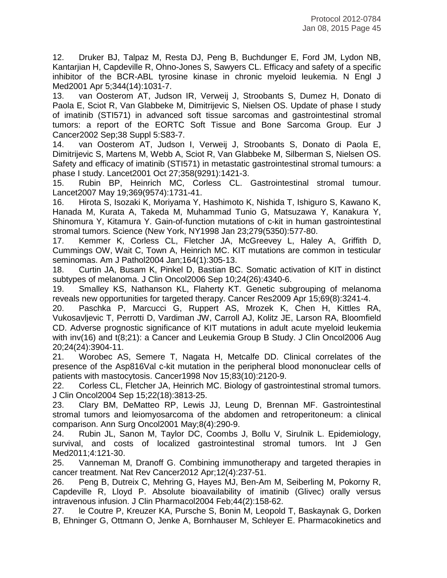12. Druker BJ, Talpaz M, Resta DJ, Peng B, Buchdunger E, Ford JM, Lydon NB, Kantarjian H, Capdeville R, Ohno-Jones S, Sawyers CL. Efficacy and safety of a specific inhibitor of the BCR-ABL tyrosine kinase in chronic myeloid leukemia. N Engl J Med2001 Apr 5;344(14):1031-7.

13. van Oosterom AT, Judson IR, Verweij J, Stroobants S, Dumez H, Donato di Paola E, Sciot R, Van Glabbeke M, Dimitrijevic S, Nielsen OS. Update of phase I study of imatinib (STI571) in advanced soft tissue sarcomas and gastrointestinal stromal tumors: a report of the EORTC Soft Tissue and Bone Sarcoma Group. Eur J Cancer2002 Sep;38 Suppl 5:S83-7.

14. van Oosterom AT, Judson I, Verweij J, Stroobants S, Donato di Paola E, Dimitrijevic S, Martens M, Webb A, Sciot R, Van Glabbeke M, Silberman S, Nielsen OS. Safety and efficacy of imatinib (STI571) in metastatic gastrointestinal stromal tumours: a phase I study. Lancet2001 Oct 27;358(9291):1421-3.

15. Rubin BP, Heinrich MC, Corless CL. Gastrointestinal stromal tumour. Lancet2007 May 19;369(9574):1731-41.

16. Hirota S, Isozaki K, Moriyama Y, Hashimoto K, Nishida T, Ishiguro S, Kawano K, Hanada M, Kurata A, Takeda M, Muhammad Tunio G, Matsuzawa Y, Kanakura Y, Shinomura Y, Kitamura Y. Gain-of-function mutations of c-kit in human gastrointestinal stromal tumors. Science (New York, NY1998 Jan 23;279(5350):577-80.

17. Kemmer K, Corless CL, Fletcher JA, McGreevey L, Haley A, Griffith D, Cummings OW, Wait C, Town A, Heinrich MC. KIT mutations are common in testicular seminomas. Am J Pathol2004 Jan;164(1):305-13.

18. Curtin JA, Busam K, Pinkel D, Bastian BC. Somatic activation of KIT in distinct subtypes of melanoma. J Clin Oncol2006 Sep 10;24(26):4340-6.

19. Smalley KS, Nathanson KL, Flaherty KT. Genetic subgrouping of melanoma reveals new opportunities for targeted therapy. Cancer Res2009 Apr 15;69(8):3241-4.

20. Paschka P, Marcucci G, Ruppert AS, Mrozek K, Chen H, Kittles RA, Vukosavljevic T, Perrotti D, Vardiman JW, Carroll AJ, Kolitz JE, Larson RA, Bloomfield CD. Adverse prognostic significance of KIT mutations in adult acute myeloid leukemia with inv(16) and t(8;21): a Cancer and Leukemia Group B Study. J Clin Oncol2006 Aug 20;24(24):3904-11.

21. Worobec AS, Semere T, Nagata H, Metcalfe DD. Clinical correlates of the presence of the Asp816Val c-kit mutation in the peripheral blood mononuclear cells of patients with mastocytosis. Cancer1998 Nov 15;83(10):2120-9.

22. Corless CL, Fletcher JA, Heinrich MC. Biology of gastrointestinal stromal tumors. J Clin Oncol2004 Sep 15;22(18):3813-25.

23. Clary BM, DeMatteo RP, Lewis JJ, Leung D, Brennan MF. Gastrointestinal stromal tumors and leiomyosarcoma of the abdomen and retroperitoneum: a clinical comparison. Ann Surg Oncol2001 May;8(4):290-9.

24. Rubin JL, Sanon M, Taylor DC, Coombs J, Bollu V, Sirulnik L. Epidemiology, survival, and costs of localized gastrointestinal stromal tumors. Int J Gen Med2011;4:121-30.

25. Vanneman M, Dranoff G. Combining immunotherapy and targeted therapies in cancer treatment. Nat Rev Cancer2012 Apr;12(4):237-51.

26. Peng B, Dutreix C, Mehring G, Hayes MJ, Ben-Am M, Seiberling M, Pokorny R, Capdeville R, Lloyd P. Absolute bioavailability of imatinib (Glivec) orally versus intravenous infusion. J Clin Pharmacol2004 Feb;44(2):158-62.<br>27. le Coutre P, Kreuzer KA, Pursche S. Bonin M. Leopold

27. le Coutre P, Kreuzer KA, Pursche S, Bonin M, Leopold T, Baskaynak G, Dorken B, Ehninger G, Ottmann O, Jenke A, Bornhauser M, Schleyer E. Pharmacokinetics and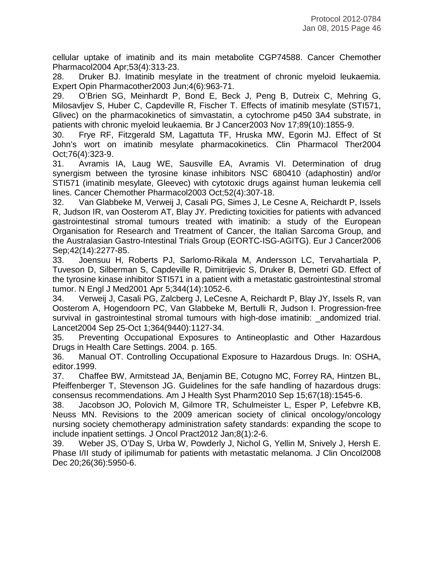cellular uptake of imatinib and its main metabolite CGP74588. Cancer Chemother Pharmacol2004 Apr;53(4):313-23.

28. Druker BJ. Imatinib mesylate in the treatment of chronic myeloid leukaemia. Expert Opin Pharmacother2003 Jun;4(6):963-71.

29. O'Brien SG, Meinhardt P, Bond E, Beck J, Peng B, Dutreix C, Mehring G, Milosavljev S, Huber C, Capdeville R, Fischer T. Effects of imatinib mesylate (STI571, Glivec) on the pharmacokinetics of simvastatin, a cytochrome p450 3A4 substrate, in patients with chronic myeloid leukaemia. Br J Cancer2003 Nov 17;89(10):1855-9.

30. Frye RF, Fitzgerald SM, Lagattuta TF, Hruska MW, Egorin MJ. Effect of St John's wort on imatinib mesylate pharmacokinetics. Clin Pharmacol Ther2004 Oct;76(4):323-9.

31. Avramis IA, Laug WE, Sausville EA, Avramis VI. Determination of drug synergism between the tyrosine kinase inhibitors NSC 680410 (adaphostin) and/or STI571 (imatinib mesylate, Gleevec) with cytotoxic drugs against human leukemia cell lines. Cancer Chemother Pharmacol2003 Oct;52(4):307-18.

32. Van Glabbeke M, Verweij J, Casali PG, Simes J, Le Cesne A, Reichardt P, Issels R, Judson IR, van Oosterom AT, Blay JY. Predicting toxicities for patients with advanced gastrointestinal stromal tumours treated with imatinib: a study of the European Organisation for Research and Treatment of Cancer, the Italian Sarcoma Group, and the Australasian Gastro-Intestinal Trials Group (EORTC-ISG-AGITG). Eur J Cancer2006 Sep;42(14):2277-85.

33. Joensuu H, Roberts PJ, Sarlomo-Rikala M, Andersson LC, Tervahartiala P, Tuveson D, Silberman S, Capdeville R, Dimitrijevic S, Druker B, Demetri GD. Effect of the tyrosine kinase inhibitor STI571 in a patient with a metastatic gastrointestinal stromal tumor. N Engl J Med2001 Apr 5;344(14):1052-6.

34. Verweij J, Casali PG, Zalcberg J, LeCesne A, Reichardt P, Blay JY, Issels R, van Oosterom A, Hogendoorn PC, Van Glabbeke M, Bertulli R, Judson I. Progression-free survival in gastrointestinal stromal tumours with high-dose imatinib: andomized trial. Lancet2004 Sep 25-Oct 1;364(9440):1127-34.

35. Preventing Occupational Exposures to Antineoplastic and Other Hazardous Drugs in Health Care Settings. 2004. p. 165.

36. Manual OT. Controlling Occupational Exposure to Hazardous Drugs. In: OSHA, editor.1999.

37. Chaffee BW, Armitstead JA, Benjamin BE, Cotugno MC, Forrey RA, Hintzen BL, Pfeiffenberger T, Stevenson JG. Guidelines for the safe handling of hazardous drugs: consensus recommendations. Am J Health Syst Pharm2010 Sep 15;67(18):1545-6.

38. Jacobson JO, Polovich M, Gilmore TR, Schulmeister L, Esper P, Lefebvre KB, Neuss MN. Revisions to the 2009 american society of clinical oncology/oncology nursing society chemotherapy administration safety standards: expanding the scope to include inpatient settings. J Oncol Pract2012 Jan;8(1):2-6.

39. Weber JS, O'Day S, Urba W, Powderly J, Nichol G, Yellin M, Snively J, Hersh E. Phase I/II study of ipilimumab for patients with metastatic melanoma. J Clin Oncol2008 Dec 20;26(36):5950-6.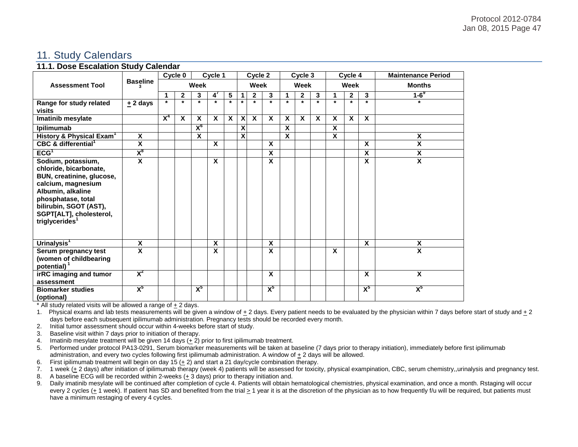# 11. Study Calendars

#### **11.1. Dose Escalation Study Calendar**

| <b>Assessment Tool</b>                                                                                                                                                                                                        | <b>Baseline</b>         | Cycle 0<br>Cycle 1 |              |                         |              |              | Cycle 2 |              |             | Cycle 3                 |              |             | Cycle 4                 |              |                         | <b>Maintenance Period</b> |
|-------------------------------------------------------------------------------------------------------------------------------------------------------------------------------------------------------------------------------|-------------------------|--------------------|--------------|-------------------------|--------------|--------------|---------|--------------|-------------|-------------------------|--------------|-------------|-------------------------|--------------|-------------------------|---------------------------|
|                                                                                                                                                                                                                               |                         | Week               |              |                         |              |              | Week    |              |             | Week                    |              |             | Week                    |              |                         | <b>Months</b>             |
|                                                                                                                                                                                                                               |                         |                    | $\mathbf{2}$ | 3                       | 4            | 5            | 1       | $\mathbf{2}$ | 3           | 1                       | $\mathbf{2}$ | 3           | 1                       | $\mathbf{2}$ | 3                       | $1-6^\circ$               |
| Range for study related<br>visits                                                                                                                                                                                             | $±$ 2 days              | $\star$            | $\star$      | $\star$                 | $\star$      | $\star$      | $\star$ | $\star$      | $\star$     | $\star$                 | $\star$      | $\star$     | $\star$                 | $\star$      | $\star$                 | $\star$                   |
| Imatinib mesylate                                                                                                                                                                                                             |                         | $X^4$              | X            | X                       | $\mathbf{x}$ | $\mathbf{x}$ | X       | $\mathbf{x}$ | $\mathbf x$ | $\mathbf{x}$            | $\mathbf{x}$ | $\mathbf x$ | $\mathbf x$             | $\mathbf{x}$ | $\mathbf{x}$            |                           |
| Ipilimumab                                                                                                                                                                                                                    |                         |                    |              | $X_{\rho}$              |              |              | X       |              |             | X                       |              |             | X                       |              |                         |                           |
| History & Physical Exam <sup>1</sup>                                                                                                                                                                                          | $\overline{\mathbf{x}}$ |                    |              | $\overline{\mathbf{x}}$ |              |              | X       |              |             | $\overline{\mathbf{x}}$ |              |             | $\overline{\mathbf{x}}$ |              |                         | $\boldsymbol{\mathsf{x}}$ |
| CBC & differential <sup>1</sup>                                                                                                                                                                                               | $\overline{\mathbf{x}}$ |                    |              |                         | $\mathbf{x}$ |              |         |              | X           |                         |              |             |                         |              | X                       | X                         |
| ECG <sup>T</sup>                                                                                                                                                                                                              | $X_{\alpha}$            |                    |              |                         |              |              |         |              | X           |                         |              |             |                         |              | X                       | X                         |
| Sodium, potassium,<br>chloride, bicarbonate,<br>BUN, creatinine, glucose,<br>calcium, magnesium<br>Albumin, alkaline<br>phosphatase, total<br>bilirubin, SGOT (AST),<br>SGPT[ALT], cholesterol,<br>triglycerides <sup>1</sup> | $\overline{\mathbf{x}}$ |                    |              |                         | $\mathbf{x}$ |              |         |              | X           |                         |              |             |                         |              | X                       | $\overline{\mathbf{x}}$   |
| Urinalysis <sup>1</sup>                                                                                                                                                                                                       | $\overline{\mathbf{x}}$ |                    |              |                         | X            |              |         |              | X           |                         |              |             |                         |              | X                       | X                         |
| Serum pregnancy test<br>(women of childbearing<br>potential) <sup>1</sup>                                                                                                                                                     | $\overline{\mathbf{x}}$ |                    |              |                         | X            |              |         |              | X           |                         |              |             | $\mathbf x$             |              |                         | $\overline{\mathbf{x}}$   |
| irRC imaging and tumor<br>assessment                                                                                                                                                                                          | $X^2$                   |                    |              |                         |              |              |         |              | X           |                         |              |             |                         |              | $\overline{\mathbf{x}}$ | $\overline{\mathbf{x}}$   |
| <b>Biomarker studies</b><br>(optional)                                                                                                                                                                                        | $X^5$                   |                    |              | $X^5$                   |              |              |         |              | $X^5$       |                         |              |             |                         |              | $X^5$                   | $X^5$                     |

\* All study related visits will be allowed a range of + 2 days.

1. Physical exams and lab tests measurements will be given a window of + 2 days. Every patient needs to be evaluated by the physician within 7 days before start of study and + 2 days before each subsequent ipilimumab administration. Pregnancy tests should be recorded every month.

2. Initial tumor assessment should occur within 4-weeks before start of study.

3. Baseline visit within 7 days prior to initiation of therapy.

4. Imatinib mesylate treatment will be given 14 days (+ 2) prior to first ipilimumab treatment.

5. Performed under protocol PA13-0291, Serum biomarker measurements will be taken at baseline (7 days prior to therapy initiation), immediately before first ipilimumab administration, and every two cycles following first ipilimumab administration. A window of  $\pm 2$  days will be allowed.

6. First ipilimumab treatment will begin on day 15  $(\pm 2)$  and start a 21 day/cycle combination therapy.

7. 1 week  $(\pm 2)$  days) after initiation of ipilimumab therapy (week 4) patients will be assessed for toxicity, physical exampination, CBC, serum chemistry,,urinalysis and pregnancy test.

8. A baseline ECG will be recorded within 2-weeks (+ 3 days) prior to therapy initiation and.

9. Daily imatinib mesylate will be continued after completion of cycle 4. Patients will obtain hematological chemistries, physical examination, and once a month. Rstaging will occur every 2 cycles (+ 1 week). If patient has SD and benefited from the trial > 1 year it is at the discretion of the physician as to how frequently f/u will be required, but patients must have a minimum restaging of every 4 cycles.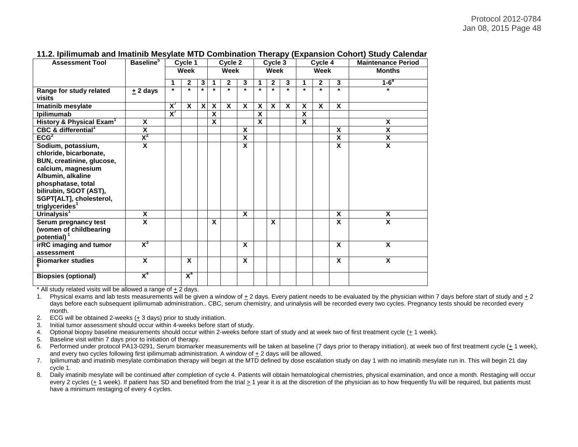#### Protocol 2012-0784 Jan 08, 2015 Page 48

| <b>Assessment Tool</b>                                                                                                                                                                                                        | <b>Baseline</b> <sup>5</sup> | Cycle 1                  |                         |         |                         | Cycle 2                 |                           | Cycle 3                 |              |                         |         | Cycle 4                 |                         | <b>Maintenance Period</b> |
|-------------------------------------------------------------------------------------------------------------------------------------------------------------------------------------------------------------------------------|------------------------------|--------------------------|-------------------------|---------|-------------------------|-------------------------|---------------------------|-------------------------|--------------|-------------------------|---------|-------------------------|-------------------------|---------------------------|
|                                                                                                                                                                                                                               |                              | Week                     |                         | Week    |                         |                         | Week                      |                         |              | Week                    |         |                         | <b>Months</b>           |                           |
|                                                                                                                                                                                                                               |                              | 1                        | $\mathbf{2}$            | 3       | 1                       | $\mathbf{2}$            | 3                         |                         | $\mathbf{2}$ | 3                       | 1       | $\mathbf{2}$            | 3                       | $1-6^{8}$                 |
| Range for study related<br>visits                                                                                                                                                                                             | $±$ 2 days                   | $\star$                  | $\star$                 | $\star$ | $\star$                 | $\star$                 | $\star$                   | $\star$                 | $\star$      | $\star$                 | $\star$ | $\star$                 | $\star$                 | $\star$                   |
| Imatinib mesylate                                                                                                                                                                                                             |                              | $\overline{\mathsf{x}'}$ | $\overline{\mathbf{x}}$ | X       | $\overline{\mathbf{x}}$ | $\overline{\mathbf{x}}$ | $\overline{\mathbf{x}}$   | $\overline{\mathbf{X}}$ | X            | $\overline{\mathbf{x}}$ | X       | $\overline{\mathbf{x}}$ | $\overline{\mathbf{x}}$ |                           |
| Ipilimumab                                                                                                                                                                                                                    |                              | $\overline{\mathsf{x}}$  |                         |         | X                       |                         |                           | $\overline{\mathsf{x}}$ |              |                         | X       |                         |                         |                           |
| History & Physical Exam <sup>1</sup>                                                                                                                                                                                          | $\overline{\mathbf{x}}$      |                          |                         |         | X                       |                         |                           | X                       |              |                         | X       |                         |                         | $\overline{\mathbf{X}}$   |
| CBC & differential <sup>1</sup>                                                                                                                                                                                               | $\overline{\mathbf{x}}$      |                          |                         |         |                         |                         | $\boldsymbol{\mathsf{x}}$ |                         |              |                         |         |                         | X                       | X                         |
| ECG <sup>2</sup>                                                                                                                                                                                                              | $X^2$                        |                          |                         |         |                         |                         | X                         |                         |              |                         |         |                         | X                       | $\overline{\mathsf{x}}$   |
| Sodium, potassium,<br>chloride, bicarbonate,<br>BUN, creatinine, glucose,<br>calcium, magnesium<br>Albumin, alkaline<br>phosphatase, total<br>bilirubin, SGOT (AST),<br>SGPT[ALT], cholesterol,<br>triglycerides <sup>1</sup> | $\overline{\mathsf{x}}$      |                          |                         |         |                         |                         | X                         |                         |              |                         |         |                         | $\overline{\mathbf{x}}$ | $\overline{\mathbf{x}}$   |
| Urinalysis <sup>1</sup>                                                                                                                                                                                                       | $\pmb{\mathsf{X}}$           |                          |                         |         |                         |                         | X                         |                         |              |                         |         |                         | X                       | X                         |
| Serum pregnancy test<br>(women of childbearing<br>potential) $1$                                                                                                                                                              | $\overline{\mathbf{x}}$      |                          |                         |         | X                       |                         |                           |                         | X            |                         |         |                         | X                       | $\overline{\mathbf{x}}$   |
| irRC imaging and tumor<br>assessment                                                                                                                                                                                          | $X^3$                        |                          |                         |         |                         |                         | $\mathbf x$               |                         |              |                         |         |                         | $\mathsf{x}$            | X                         |
| <b>Biomarker studies</b>                                                                                                                                                                                                      | X                            |                          | $\mathbf x$             |         |                         |                         | X                         |                         |              |                         |         |                         | X                       | X                         |
| <b>Biopsies (optional)</b>                                                                                                                                                                                                    | $X^4$                        |                          | $X^4$                   |         |                         |                         |                           |                         |              |                         |         |                         |                         |                           |

#### **11.2. Ipilimumab and Imatinib Mesylate MTD Combination Therapy (Expansion Cohort) Study Calendar**

\* All study related visits will be allowed a range of + 2 days.

1. Physical exams and lab tests measurements will be given a window of  $\pm$  2 days. Every patient needs to be evaluated by the physician within 7 days before start of study and  $\pm$  2 days before each subsequent ipilimumab administration.. CBC, serum chemistry, and urinalysis will be recorded every two cycles. Pregnancy tests should be recorded every month.

- 2. ECG will be obtained 2-weeks (+ 3 days) prior to study initiation.
- 3. Initial tumor assessment should occur within 4-weeks before start of study.
- 4. Optional biopsy baseline measurements should occur within 2-weeks before start of study and at week two of first treatment cycle (+ 1 week).
- 5. Baseline visit within 7 days prior to initiation of therapy.
- 6. Performed under protocol PA13-0291, Serum biomarker measurements will be taken at baseline (7 days prior to therapy initiation), at week two of first treatment cycle (+ 1 week), and every two cycles following first ipilimumab administration. A window of + 2 days will be allowed.
- 7. Ipilimumab and imatinib mesylate combination therapy will begin at the MTD defined by dose escalation study on day 1 with no imatinib mesylate run in. This will begin 21 day cycle 1.
- 8. Daily imatinib mesylate will be continued after completion of cycle 4. Patients will obtain hematological chemistries, physical examination, and once a month. Restaging will occur every 2 cycles (+ 1 week). If patient has SD and benefited from the trial > 1 year it is at the discretion of the physician as to how frequently f/u will be required, but patients must have a minimum restaging of every 4 cycles.